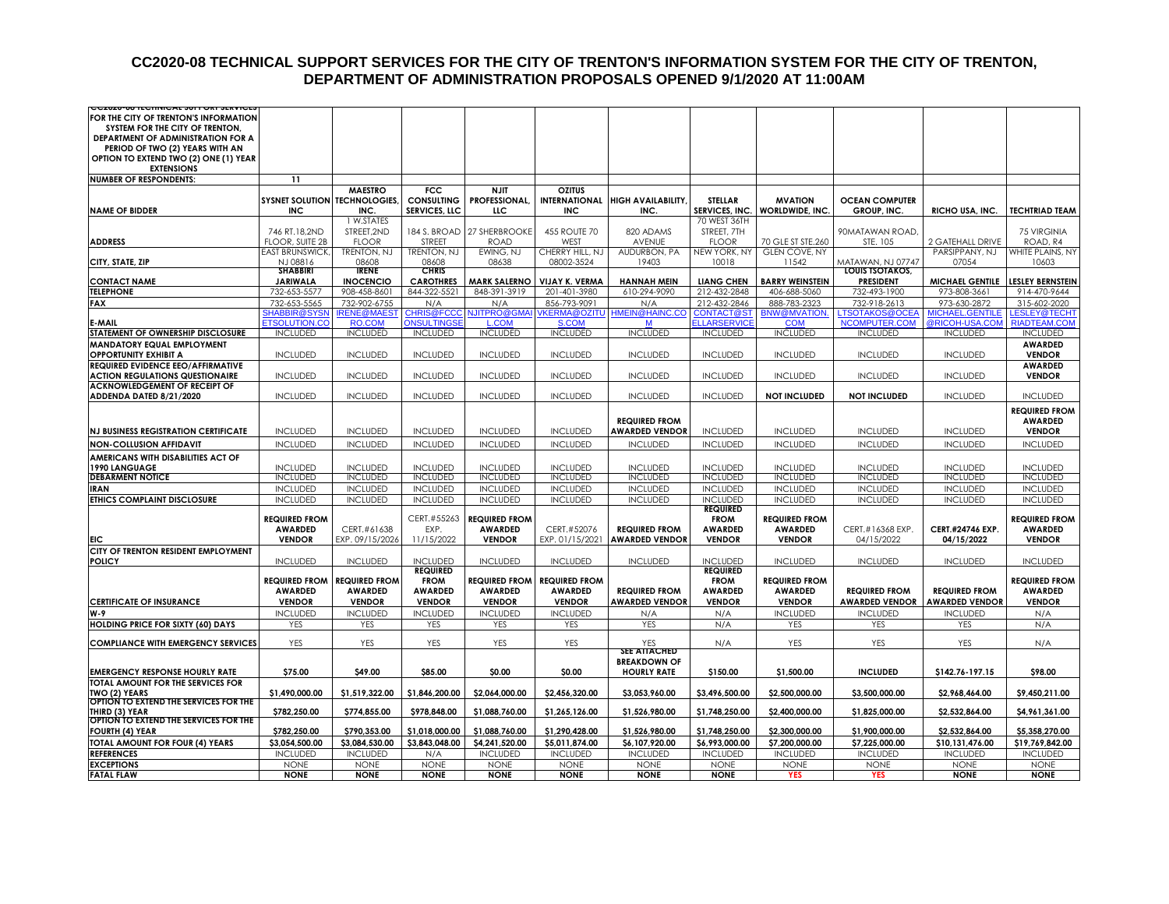#### **CC2020-08 TECHNICAL SUPPORT SERVICES FOR THE CITY OF TRENTON'S INFORMATION SYSTEM FOR THE CITY OF TRENTON, DEPARTMENT OF ADMINISTRATION PROPOSALS OPENED 9/1/2020 AT 11:00AM**

| FOR THE CITY OF TRENTON'S INFORMATION<br>SYSTEM FOR THE CITY OF TRENTON,<br>DEPARTMENT OF ADMINISTRATION FOR A<br>PERIOD OF TWO (2) YEARS WITH AN<br>OPTION TO EXTEND TWO (2) ONE (1) YEAR<br><b>EXTENSIONS</b><br><b>NUMBER OF RESPONDENTS:</b><br>11<br><b>MAESTRO</b><br><b>FCC</b><br><b>NJIT</b><br><b>OZITUS</b><br><b>SYSNET SOLUTION TECHNOLOGIES</b><br><b>CONSULTING</b><br><b>PROFESSIONAL</b><br><b>STELLAR</b><br><b>MVATION</b><br><b>OCEAN COMPUTER</b><br><b>INTERNATIONAL</b><br><b>HIGH AVAILABILITY</b><br>INC.<br><b>SERVICES, LLC</b><br><b>INC</b><br>SERVICES, INC.<br>WORLDWIDE, INC.<br>GROUP, INC.<br><b>TECHTRIAD TEAM</b><br><b>NAME OF BIDDER</b><br><b>INC</b><br>ЩC<br>INC.<br>RICHO USA, INC.<br>1 W.STATES<br>70 WEST 36TH<br>STREET, 2ND<br>184 S. BROAD 27 SHERBROOKE<br>455 ROUTE 70<br>746 RT.18,2ND<br>820 ADAMS<br>STREET, 7TH<br>90MATAWAN ROAD<br>75 VIRGINIA<br><b>FLOOR, SUITE 2B</b><br><b>FLOOR</b><br>STREET<br><b>AVENUE</b><br><b>FLOOR</b><br>ROAD, R4<br><b>ADDRESS</b><br><b>ROAD</b><br>WEST<br>70 GLE ST STE, 260<br>STE. 105<br>2 GATEHALL DRIVE<br><b>TRENTON, NJ</b><br><b>TRENTON, NJ</b><br>EWING, NJ<br>CHERRY HILL, NJ<br>AUDURBON, PA<br>NEW YORK, NY<br><b>GLEN COVE, NY</b><br>PARSIPPANY, NJ<br>WHITE PLAINS, NY<br><b>EAST BRUNSWICK</b><br>CITY, STATE, ZIP<br>NJ 08816<br>08608<br>08608<br>08638<br>08002-3524<br>19403<br>10018<br>11542<br>MATAWAN, NJ 07747<br>07054<br>10603<br><b>IRENE</b><br><b>CHRIS</b><br><b>SHABBIRI</b><br>LOUIS TSOTAKOS,<br><b>CAROTHRES</b><br><b>LIANG CHEN</b><br><b>BARRY WEINSTEIN</b><br><b>PRESIDENT</b><br><b>MICHAEL GENTILE</b><br><b>LESLEY BERNSTEIN</b><br><b>CONTACT NAME</b><br><b>JARIWALA</b><br><b>INOCENCIO</b><br><b>MARK SALERNO</b><br><b>VIJAY K. VERMA</b><br><b>HANNAH MEIN</b><br><b>TELEPHONE</b><br>732-653-5577<br>908-458-8601<br>844-322-5521<br>848-391-3919<br>201-401-3980<br>610-294-9090<br>212-432-2848<br>406-688-5060<br>732-493-1900<br>973-808-3661<br>914-470-9644<br>732-653-5565<br>732-902-6755<br>212-432-2846<br>888-783-2323<br>732-918-2613<br>973-630-2872<br>315-602-2020<br><b>FAX</b><br>N/A<br>N/A<br>856-793-9091<br>N/A<br><b>IRENE@MAES</b><br><b>CHRIS@FCCC</b><br><b>NJITPRO@GMA</b><br><b>/KERMA@OZITU</b><br>HMEIN@HAINC.CO<br><b>CONTACT@ST</b><br><b>BNW@MVATION.</b><br><b>TSOTAKOS@OCEA</b><br><b>MICHAEL.GENTILE</b><br><b>ESLEY@TECHT</b><br>SHABBIR@SYSM<br><b>ETSOLUTION.CC</b><br><b>RO.COM</b><br><b>ONSULTINGSE</b><br><b>L.COM</b><br>S.COM<br><b>ELLARSERVICE</b><br><b>COM</b><br>NCOMPUTER.COM<br>@RICOH-USA.COM<br><b>RIADTEAM.COM</b><br>E-MAIL<br>M<br><b>INCLUDED</b><br><b>INCLUDED</b><br><b>INCLUDED</b><br><b>INCLUDED</b><br><b>INCLUDED</b><br><b>INCLUDED</b><br><b>INCLUDED</b><br><b>INCLUDED</b><br><b>INCLUDED</b><br><b>INCLUDED</b><br><b>INCLUDED</b><br>STATEMENT OF OWNERSHIP DISCLOSURE<br><b>AWARDED</b><br>MANDATORY EQUAL EMPLOYMENT<br><b>OPPORTUNITY EXHIBIT A</b><br><b>INCLUDED</b><br><b>INCLUDED</b><br><b>INCLUDED</b><br><b>INCLUDED</b><br><b>INCLUDED</b><br><b>INCLUDED</b><br><b>INCLUDED</b><br><b>INCLUDED</b><br><b>INCLUDED</b><br><b>INCLUDED</b><br><b>VENDOR</b><br><b>REQUIRED EVIDENCE EEO/AFFIRMATIVE</b><br><b>AWARDED</b><br><b>VENDOR</b><br><b>ACTION REGULATIONS QUESTIONAIRE</b><br><b>INCLUDED</b><br><b>INCLUDED</b><br><b>INCLUDED</b><br><b>INCLUDED</b><br><b>INCLUDED</b><br><b>INCLUDED</b><br><b>INCLUDED</b><br><b>INCLUDED</b><br><b>INCLUDED</b><br><b>INCLUDED</b><br>ACKNOWLEDGEMENT OF RECEIPT OF<br>ADDENDA DATED 8/21/2020<br><b>INCLUDED</b><br><b>INCLUDED</b><br><b>INCLUDED</b><br><b>INCLUDED</b><br><b>INCLUDED</b><br><b>INCLUDED</b><br><b>INCLUDED</b><br><b>NOT INCLUDED</b><br><b>NOT INCLUDED</b><br><b>INCLUDED</b><br><b>INCLUDED</b><br><b>REQUIRED FROM</b><br><b>AWARDED</b><br><b>REQUIRED FROM</b><br><b>AWARDED VENDOR</b><br><b>INCLUDED</b><br><b>INCLUDED</b><br><b>INCLUDED</b><br><b>INCLUDED</b><br><b>INCLUDED</b><br><b>INCLUDED</b><br><b>INCLUDED</b><br><b>INCLUDED</b><br><b>VENDOR</b><br><b>NJ BUSINESS REGISTRATION CERTIFICATE</b><br><b>INCLUDED</b><br><b>INCLUDED</b><br><b>INCLUDED</b><br><b>INCLUDED</b><br><b>INCLUDED</b><br><b>INCLUDED</b><br><b>INCLUDED</b><br><b>INCLUDED</b><br><b>INCLUDED</b><br><b>INCLUDED</b><br><b>NON-COLLUSION AFFIDAVIT</b><br><b>INCLUDED</b><br><b>INCLUDED</b><br>AMERICANS WITH DISABILITIES ACT OF<br>1990 LANGUAGE<br><b>INCLUDED</b><br><b>INCLUDED</b><br><b>INCLUDED</b><br><b>INCLUDED</b><br><b>INCLUDED</b><br><b>INCLUDED</b><br><b>INCLUDED</b><br><b>INCLUDED</b><br><b>INCLUDED</b><br><b>INCLUDED</b><br><b>INCLUDED</b><br><b>DEBARMENT NOTICE</b><br><b>INCLUDED</b><br><b>INCLUDED</b><br><b>INCLUDED</b><br><b>INCLUDED</b><br><b>INCLUDED</b><br><b>INCLUDED</b><br><b>INCLUDED</b><br><b>INCLUDED</b><br><b>INCLUDED</b><br><b>INCLUDED</b><br><b>INCLUDED</b><br><b>IRAN</b><br><b>INCLUDED</b><br><b>INCLUDED</b><br><b>INCLUDED</b><br><b>INCLUDED</b><br><b>INCLUDED</b><br><b>INCLUDED</b><br><b>INCLUDED</b><br><b>INCLUDED</b><br><b>INCLUDED</b><br><b>INCLUDED</b><br><b>INCLUDED</b><br>ETHICS COMPLAINT DISCLOSURE<br><b>INCLUDED</b><br><b>INCLUDED</b><br><b>INCLUDED</b><br><b>INCLUDED</b><br><b>INCLUDED</b><br><b>INCLUDED</b><br><b>INCLUDED</b><br><b>INCLUDED</b><br><b>INCLUDED</b><br><b>INCLUDED</b><br><b>INCLUDED</b><br><b>REQUIRED</b><br>CERT.#55263<br><b>REQUIRED FROM</b><br><b>REQUIRED FROM</b><br><b>FROM</b><br><b>REQUIRED FROM</b><br><b>REQUIRED FROM</b><br><b>AWARDED</b><br>CERT.#61638<br>EXP.<br><b>AWARDED</b><br>CERT.#52076<br><b>REQUIRED FROM</b><br><b>AWARDED</b><br><b>AWARDED</b><br>CERT.#16368 EXP.<br>CERT.#24746 EXP.<br><b>AWARDED</b><br><b>VENDOR</b><br><b>VENDOR</b><br><b>VENDOR</b><br>EXP. 09/15/2026<br>11/15/2022<br>EXP. 01/15/2021<br><b>AWARDED VENDOR</b><br><b>VENDOR</b><br>04/15/2022<br>04/15/2022<br><b>VENDOR</b><br>EIC<br>CITY OF TRENTON RESIDENT EMPLOYMENT<br><b>INCLUDED</b><br><b>INCLUDED</b><br><b>INCLUDED</b><br><b>INCLUDED</b><br><b>INCLUDED</b><br><b>INCLUDED</b><br><b>INCLUDED</b><br><b>INCLUDED</b><br><b>INCLUDED</b><br><b>INCLUDED</b><br><b>INCLUDED</b><br>POLICY<br><b>REQUIRED</b><br><b>REQUIRED</b><br><b>FROM</b><br><b>FROM</b><br><b>REQUIRED FROM</b><br><b>REQUIRED FROM</b><br><b>REQUIRED FROM</b><br><b>REQUIRED FROM</b><br><b>REQUIRED FROM</b><br><b>REQUIRED FROM</b><br><b>AWARDED</b><br><b>AWARDED</b><br><b>AWARDED</b><br><b>AWARDED</b><br><b>AWARDED</b><br><b>REQUIRED FROM</b><br><b>AWARDED</b><br><b>AWARDED</b><br><b>REQUIRED FROM</b><br><b>REQUIRED FROM</b><br><b>AWARDED</b><br><b>AWARDED VENDOR</b><br><b>VENDOR</b><br><b>AWARDED VENDOR</b><br><b>CERTIFICATE OF INSURANCE</b><br><b>VENDOR</b><br><b>VENDOR</b><br><b>VENDOR</b><br><b>VENDOR</b><br><b>VENDOR</b><br><b>VENDOR</b><br><b>AWARDED VENDOR</b><br><b>VENDOR</b><br><b>INCLUDED</b><br><b>INCLUDED</b><br><b>INCLUDED</b><br><b>INCLUDED</b><br><b>INCLUDED</b><br><b>INCLUDED</b><br><b>INCLUDED</b><br><b>INCLUDED</b><br>W-9<br>N/A<br>N/A<br>N/A<br>YES<br>YES<br>YES<br>YES<br>N/A<br>YES<br>YES<br>YES<br>N/A<br><b>HOLDING PRICE FOR SIXTY (60) DAYS</b><br>YES<br>YES<br>YES<br><b>COMPLIANCE WITH EMERGENCY SERVICES</b><br>YES<br>YES<br>YES<br>YES<br>N/A<br>YES<br>YES<br>YES<br>N/A<br>YES<br><b>SEE ATTACHED</b><br><b>BREAKDOWN OF</b><br><b>EMERGENCY RESPONSE HOURLY RATE</b><br>\$75.00<br>S49.00<br>S85.00<br>\$0.00<br><b>SO.00</b><br><b>HOURLY RATE</b><br>\$150.00<br>\$1,500.00<br><b>INCLUDED</b><br>\$142.76-197.15<br>\$98.00<br>TOTAL AMOUNT FOR THE SERVICES FOR<br>TWO (2) YEARS<br>\$1,490,000.00<br>\$1,519,322.00<br>\$1,846,200.00<br>\$2,064,000.00<br>\$2,456,320.00<br>\$3,053,960.00<br>\$3,496,500.00<br>\$2,500,000.00<br>\$2,968,464.00<br>\$9,450,211.00<br>\$3,500,000.00<br>OPTION TO EXTEND THE SERVICES FOR THE<br>THIRD (3) YEAR<br>\$782,250.00<br>\$774,855.00<br>\$978,848.00<br>\$1,088,760.00<br>\$1,265,126.00<br>\$1,526,980.00<br>\$1,748,250.00<br>\$2,400,000.00<br>\$2,532,864.00<br>\$1,825,000.00<br>\$4,961,361.00<br>OPTION TO EXTEND THE SERVICES FOR THE<br><b>FOURTH (4) YEAR</b><br>\$782,250.00<br>\$790,353.00<br>\$1,018,000.00<br>\$1,088,760.00<br>\$1,290,428.00<br>\$1,526,980.00<br>\$1,748,250.00<br>\$2,300,000.00<br>\$1,900,000.00<br>\$2,532,864.00<br>\$5,358,270.00<br>TOTAL AMOUNT FOR FOUR (4) YEARS<br>\$3,054,500.00<br>\$3,084,530.00<br>\$3,843,048.00<br>\$4,241,520.00<br>\$5,011,874.00<br>\$6,107,920.00<br>\$6,993,000.00<br>\$7,200,000.00<br>\$7,225,000.00<br>\$10,131,476.00<br>\$19,769,842.00<br><b>REFERENCES</b><br><b>INCLUDED</b><br><b>INCLUDED</b><br><b>INCLUDED</b><br><b>INCLUDED</b><br><b>INCLUDED</b><br><b>INCLUDED</b><br><b>INCLUDED</b><br><b>INCLUDED</b><br><b>INCLUDED</b><br>N/A<br><b>INCLUDED</b> | <b>CCZ0Z0-00 IECHNICAL SUFFORI SERVICE</b> |             |             |             |             |             |             |             |             |             |             |             |
|---------------------------------------------------------------------------------------------------------------------------------------------------------------------------------------------------------------------------------------------------------------------------------------------------------------------------------------------------------------------------------------------------------------------------------------------------------------------------------------------------------------------------------------------------------------------------------------------------------------------------------------------------------------------------------------------------------------------------------------------------------------------------------------------------------------------------------------------------------------------------------------------------------------------------------------------------------------------------------------------------------------------------------------------------------------------------------------------------------------------------------------------------------------------------------------------------------------------------------------------------------------------------------------------------------------------------------------------------------------------------------------------------------------------------------------------------------------------------------------------------------------------------------------------------------------------------------------------------------------------------------------------------------------------------------------------------------------------------------------------------------------------------------------------------------------------------------------------------------------------------------------------------------------------------------------------------------------------------------------------------------------------------------------------------------------------------------------------------------------------------------------------------------------------------------------------------------------------------------------------------------------------------------------------------------------------------------------------------------------------------------------------------------------------------------------------------------------------------------------------------------------------------------------------------------------------------------------------------------------------------------------------------------------------------------------------------------------------------------------------------------------------------------------------------------------------------------------------------------------------------------------------------------------------------------------------------------------------------------------------------------------------------------------------------------------------------------------------------------------------------------------------------------------------------------------------------------------------------------------------------------------------------------------------------------------------------------------------------------------------------------------------------------------------------------------------------------------------------------------------------------------------------------------------------------------------------------------------------------------------------------------------------------------------------------------------------------------------------------------------------------------------------------------------------------------------------------------------------------------------------------------------------------------------------------------------------------------------------------------------------------------------------------------------------------------------------------------------------------------------------------------------------------------------------------------------------------------------------------------------------------------------------------------------------------------------------------------------------------------------------------------------------------------------------------------------------------------------------------------------------------------------------------------------------------------------------------------------------------------------------------------------------------------------------------------------------------------------------------------------------------------------------------------------------------------------------------------------------------------------------------------------------------------------------------------------------------------------------------------------------------------------------------------------------------------------------------------------------------------------------------------------------------------------------------------------------------------------------------------------------------------------------------------------------------------------------------------------------------------------------------------------------------------------------------------------------------------------------------------------------------------------------------------------------------------------------------------------------------------------------------------------------------------------------------------------------------------------------------------------------------------------------------------------------------------------------------------------------------------------------------------------------------------------------------------------------------------------------------------------------------------------------------------------------------------------------------------------------------------------------------------------------------------------------------------------------------------------------------------------------------------------------------------------------------------------------------------------------------------------------------------------------------------------------------------------------------------------------------------------------------------------------------------------------------------------------------------------------------------------------------------------------------------------------------------------------------------------------------------------------------------------------------------------------------------------------------------------------------------------------------------------------------------------------------------------------------------------------------------------------------------------------------------------------------------------------------------------------------------------------------------------------------------------------------------------------------------------------------------------------------------------------------------------------------------------------------------------------------------------------------------------------------------------------------------------------------------------------------------------------------------------------------------------------------------------------------------------------------------------------------------------------------------------------------------------------------------------------------------------------------------------------------------------------------------------------------------------------------------------------------------------------------------------------------------------------------------------------------------------------------------------------------------------------------------------------------------------------------------------------------------------------------------------------------------------------------------------------------------------------------------------------------------------------------------------------------------------------------------------------------------------------------------------------------------------------------------------------------------------------------------------------------------------------------------------------------------------------------------------------------------------------------------------------------------------------------------------------------------------------------------------------------------------------------------------------------------------------------------------------------------|--------------------------------------------|-------------|-------------|-------------|-------------|-------------|-------------|-------------|-------------|-------------|-------------|-------------|
|                                                                                                                                                                                                                                                                                                                                                                                                                                                                                                                                                                                                                                                                                                                                                                                                                                                                                                                                                                                                                                                                                                                                                                                                                                                                                                                                                                                                                                                                                                                                                                                                                                                                                                                                                                                                                                                                                                                                                                                                                                                                                                                                                                                                                                                                                                                                                                                                                                                                                                                                                                                                                                                                                                                                                                                                                                                                                                                                                                                                                                                                                                                                                                                                                                                                                                                                                                                                                                                                                                                                                                                                                                                                                                                                                                                                                                                                                                                                                                                                                                                                                                                                                                                                                                                                                                                                                                                                                                                                                                                                                                                                                                                                                                                                                                                                                                                                                                                                                                                                                                                                                                                                                                                                                                                                                                                                                                                                                                                                                                                                                                                                                                                                                                                                                                                                                                                                                                                                                                                                                                                                                                                                                                                                                                                                                                                                                                                                                                                                                                                                                                                                                                                                                                                                                                                                                                                                                                                                                                                                                                                                                                                                                                                                                                                                                                                                                                                                                                                                                                                                                                                                                                                                                                                                                                                                                                                                                                                                                                                                                                                                                                                                                                                                                                                                                                                                                                                                                                                                                                                                                                                                                                                                                                                                                                                                                                                                                       |                                            |             |             |             |             |             |             |             |             |             |             |             |
|                                                                                                                                                                                                                                                                                                                                                                                                                                                                                                                                                                                                                                                                                                                                                                                                                                                                                                                                                                                                                                                                                                                                                                                                                                                                                                                                                                                                                                                                                                                                                                                                                                                                                                                                                                                                                                                                                                                                                                                                                                                                                                                                                                                                                                                                                                                                                                                                                                                                                                                                                                                                                                                                                                                                                                                                                                                                                                                                                                                                                                                                                                                                                                                                                                                                                                                                                                                                                                                                                                                                                                                                                                                                                                                                                                                                                                                                                                                                                                                                                                                                                                                                                                                                                                                                                                                                                                                                                                                                                                                                                                                                                                                                                                                                                                                                                                                                                                                                                                                                                                                                                                                                                                                                                                                                                                                                                                                                                                                                                                                                                                                                                                                                                                                                                                                                                                                                                                                                                                                                                                                                                                                                                                                                                                                                                                                                                                                                                                                                                                                                                                                                                                                                                                                                                                                                                                                                                                                                                                                                                                                                                                                                                                                                                                                                                                                                                                                                                                                                                                                                                                                                                                                                                                                                                                                                                                                                                                                                                                                                                                                                                                                                                                                                                                                                                                                                                                                                                                                                                                                                                                                                                                                                                                                                                                                                                                                                                       |                                            |             |             |             |             |             |             |             |             |             |             |             |
|                                                                                                                                                                                                                                                                                                                                                                                                                                                                                                                                                                                                                                                                                                                                                                                                                                                                                                                                                                                                                                                                                                                                                                                                                                                                                                                                                                                                                                                                                                                                                                                                                                                                                                                                                                                                                                                                                                                                                                                                                                                                                                                                                                                                                                                                                                                                                                                                                                                                                                                                                                                                                                                                                                                                                                                                                                                                                                                                                                                                                                                                                                                                                                                                                                                                                                                                                                                                                                                                                                                                                                                                                                                                                                                                                                                                                                                                                                                                                                                                                                                                                                                                                                                                                                                                                                                                                                                                                                                                                                                                                                                                                                                                                                                                                                                                                                                                                                                                                                                                                                                                                                                                                                                                                                                                                                                                                                                                                                                                                                                                                                                                                                                                                                                                                                                                                                                                                                                                                                                                                                                                                                                                                                                                                                                                                                                                                                                                                                                                                                                                                                                                                                                                                                                                                                                                                                                                                                                                                                                                                                                                                                                                                                                                                                                                                                                                                                                                                                                                                                                                                                                                                                                                                                                                                                                                                                                                                                                                                                                                                                                                                                                                                                                                                                                                                                                                                                                                                                                                                                                                                                                                                                                                                                                                                                                                                                                                                       |                                            |             |             |             |             |             |             |             |             |             |             |             |
|                                                                                                                                                                                                                                                                                                                                                                                                                                                                                                                                                                                                                                                                                                                                                                                                                                                                                                                                                                                                                                                                                                                                                                                                                                                                                                                                                                                                                                                                                                                                                                                                                                                                                                                                                                                                                                                                                                                                                                                                                                                                                                                                                                                                                                                                                                                                                                                                                                                                                                                                                                                                                                                                                                                                                                                                                                                                                                                                                                                                                                                                                                                                                                                                                                                                                                                                                                                                                                                                                                                                                                                                                                                                                                                                                                                                                                                                                                                                                                                                                                                                                                                                                                                                                                                                                                                                                                                                                                                                                                                                                                                                                                                                                                                                                                                                                                                                                                                                                                                                                                                                                                                                                                                                                                                                                                                                                                                                                                                                                                                                                                                                                                                                                                                                                                                                                                                                                                                                                                                                                                                                                                                                                                                                                                                                                                                                                                                                                                                                                                                                                                                                                                                                                                                                                                                                                                                                                                                                                                                                                                                                                                                                                                                                                                                                                                                                                                                                                                                                                                                                                                                                                                                                                                                                                                                                                                                                                                                                                                                                                                                                                                                                                                                                                                                                                                                                                                                                                                                                                                                                                                                                                                                                                                                                                                                                                                                                                       |                                            |             |             |             |             |             |             |             |             |             |             |             |
|                                                                                                                                                                                                                                                                                                                                                                                                                                                                                                                                                                                                                                                                                                                                                                                                                                                                                                                                                                                                                                                                                                                                                                                                                                                                                                                                                                                                                                                                                                                                                                                                                                                                                                                                                                                                                                                                                                                                                                                                                                                                                                                                                                                                                                                                                                                                                                                                                                                                                                                                                                                                                                                                                                                                                                                                                                                                                                                                                                                                                                                                                                                                                                                                                                                                                                                                                                                                                                                                                                                                                                                                                                                                                                                                                                                                                                                                                                                                                                                                                                                                                                                                                                                                                                                                                                                                                                                                                                                                                                                                                                                                                                                                                                                                                                                                                                                                                                                                                                                                                                                                                                                                                                                                                                                                                                                                                                                                                                                                                                                                                                                                                                                                                                                                                                                                                                                                                                                                                                                                                                                                                                                                                                                                                                                                                                                                                                                                                                                                                                                                                                                                                                                                                                                                                                                                                                                                                                                                                                                                                                                                                                                                                                                                                                                                                                                                                                                                                                                                                                                                                                                                                                                                                                                                                                                                                                                                                                                                                                                                                                                                                                                                                                                                                                                                                                                                                                                                                                                                                                                                                                                                                                                                                                                                                                                                                                                                                       |                                            |             |             |             |             |             |             |             |             |             |             |             |
|                                                                                                                                                                                                                                                                                                                                                                                                                                                                                                                                                                                                                                                                                                                                                                                                                                                                                                                                                                                                                                                                                                                                                                                                                                                                                                                                                                                                                                                                                                                                                                                                                                                                                                                                                                                                                                                                                                                                                                                                                                                                                                                                                                                                                                                                                                                                                                                                                                                                                                                                                                                                                                                                                                                                                                                                                                                                                                                                                                                                                                                                                                                                                                                                                                                                                                                                                                                                                                                                                                                                                                                                                                                                                                                                                                                                                                                                                                                                                                                                                                                                                                                                                                                                                                                                                                                                                                                                                                                                                                                                                                                                                                                                                                                                                                                                                                                                                                                                                                                                                                                                                                                                                                                                                                                                                                                                                                                                                                                                                                                                                                                                                                                                                                                                                                                                                                                                                                                                                                                                                                                                                                                                                                                                                                                                                                                                                                                                                                                                                                                                                                                                                                                                                                                                                                                                                                                                                                                                                                                                                                                                                                                                                                                                                                                                                                                                                                                                                                                                                                                                                                                                                                                                                                                                                                                                                                                                                                                                                                                                                                                                                                                                                                                                                                                                                                                                                                                                                                                                                                                                                                                                                                                                                                                                                                                                                                                                                       |                                            |             |             |             |             |             |             |             |             |             |             |             |
|                                                                                                                                                                                                                                                                                                                                                                                                                                                                                                                                                                                                                                                                                                                                                                                                                                                                                                                                                                                                                                                                                                                                                                                                                                                                                                                                                                                                                                                                                                                                                                                                                                                                                                                                                                                                                                                                                                                                                                                                                                                                                                                                                                                                                                                                                                                                                                                                                                                                                                                                                                                                                                                                                                                                                                                                                                                                                                                                                                                                                                                                                                                                                                                                                                                                                                                                                                                                                                                                                                                                                                                                                                                                                                                                                                                                                                                                                                                                                                                                                                                                                                                                                                                                                                                                                                                                                                                                                                                                                                                                                                                                                                                                                                                                                                                                                                                                                                                                                                                                                                                                                                                                                                                                                                                                                                                                                                                                                                                                                                                                                                                                                                                                                                                                                                                                                                                                                                                                                                                                                                                                                                                                                                                                                                                                                                                                                                                                                                                                                                                                                                                                                                                                                                                                                                                                                                                                                                                                                                                                                                                                                                                                                                                                                                                                                                                                                                                                                                                                                                                                                                                                                                                                                                                                                                                                                                                                                                                                                                                                                                                                                                                                                                                                                                                                                                                                                                                                                                                                                                                                                                                                                                                                                                                                                                                                                                                                                       |                                            |             |             |             |             |             |             |             |             |             |             |             |
|                                                                                                                                                                                                                                                                                                                                                                                                                                                                                                                                                                                                                                                                                                                                                                                                                                                                                                                                                                                                                                                                                                                                                                                                                                                                                                                                                                                                                                                                                                                                                                                                                                                                                                                                                                                                                                                                                                                                                                                                                                                                                                                                                                                                                                                                                                                                                                                                                                                                                                                                                                                                                                                                                                                                                                                                                                                                                                                                                                                                                                                                                                                                                                                                                                                                                                                                                                                                                                                                                                                                                                                                                                                                                                                                                                                                                                                                                                                                                                                                                                                                                                                                                                                                                                                                                                                                                                                                                                                                                                                                                                                                                                                                                                                                                                                                                                                                                                                                                                                                                                                                                                                                                                                                                                                                                                                                                                                                                                                                                                                                                                                                                                                                                                                                                                                                                                                                                                                                                                                                                                                                                                                                                                                                                                                                                                                                                                                                                                                                                                                                                                                                                                                                                                                                                                                                                                                                                                                                                                                                                                                                                                                                                                                                                                                                                                                                                                                                                                                                                                                                                                                                                                                                                                                                                                                                                                                                                                                                                                                                                                                                                                                                                                                                                                                                                                                                                                                                                                                                                                                                                                                                                                                                                                                                                                                                                                                                                       |                                            |             |             |             |             |             |             |             |             |             |             |             |
|                                                                                                                                                                                                                                                                                                                                                                                                                                                                                                                                                                                                                                                                                                                                                                                                                                                                                                                                                                                                                                                                                                                                                                                                                                                                                                                                                                                                                                                                                                                                                                                                                                                                                                                                                                                                                                                                                                                                                                                                                                                                                                                                                                                                                                                                                                                                                                                                                                                                                                                                                                                                                                                                                                                                                                                                                                                                                                                                                                                                                                                                                                                                                                                                                                                                                                                                                                                                                                                                                                                                                                                                                                                                                                                                                                                                                                                                                                                                                                                                                                                                                                                                                                                                                                                                                                                                                                                                                                                                                                                                                                                                                                                                                                                                                                                                                                                                                                                                                                                                                                                                                                                                                                                                                                                                                                                                                                                                                                                                                                                                                                                                                                                                                                                                                                                                                                                                                                                                                                                                                                                                                                                                                                                                                                                                                                                                                                                                                                                                                                                                                                                                                                                                                                                                                                                                                                                                                                                                                                                                                                                                                                                                                                                                                                                                                                                                                                                                                                                                                                                                                                                                                                                                                                                                                                                                                                                                                                                                                                                                                                                                                                                                                                                                                                                                                                                                                                                                                                                                                                                                                                                                                                                                                                                                                                                                                                                                                       |                                            |             |             |             |             |             |             |             |             |             |             |             |
|                                                                                                                                                                                                                                                                                                                                                                                                                                                                                                                                                                                                                                                                                                                                                                                                                                                                                                                                                                                                                                                                                                                                                                                                                                                                                                                                                                                                                                                                                                                                                                                                                                                                                                                                                                                                                                                                                                                                                                                                                                                                                                                                                                                                                                                                                                                                                                                                                                                                                                                                                                                                                                                                                                                                                                                                                                                                                                                                                                                                                                                                                                                                                                                                                                                                                                                                                                                                                                                                                                                                                                                                                                                                                                                                                                                                                                                                                                                                                                                                                                                                                                                                                                                                                                                                                                                                                                                                                                                                                                                                                                                                                                                                                                                                                                                                                                                                                                                                                                                                                                                                                                                                                                                                                                                                                                                                                                                                                                                                                                                                                                                                                                                                                                                                                                                                                                                                                                                                                                                                                                                                                                                                                                                                                                                                                                                                                                                                                                                                                                                                                                                                                                                                                                                                                                                                                                                                                                                                                                                                                                                                                                                                                                                                                                                                                                                                                                                                                                                                                                                                                                                                                                                                                                                                                                                                                                                                                                                                                                                                                                                                                                                                                                                                                                                                                                                                                                                                                                                                                                                                                                                                                                                                                                                                                                                                                                                                                       |                                            |             |             |             |             |             |             |             |             |             |             |             |
|                                                                                                                                                                                                                                                                                                                                                                                                                                                                                                                                                                                                                                                                                                                                                                                                                                                                                                                                                                                                                                                                                                                                                                                                                                                                                                                                                                                                                                                                                                                                                                                                                                                                                                                                                                                                                                                                                                                                                                                                                                                                                                                                                                                                                                                                                                                                                                                                                                                                                                                                                                                                                                                                                                                                                                                                                                                                                                                                                                                                                                                                                                                                                                                                                                                                                                                                                                                                                                                                                                                                                                                                                                                                                                                                                                                                                                                                                                                                                                                                                                                                                                                                                                                                                                                                                                                                                                                                                                                                                                                                                                                                                                                                                                                                                                                                                                                                                                                                                                                                                                                                                                                                                                                                                                                                                                                                                                                                                                                                                                                                                                                                                                                                                                                                                                                                                                                                                                                                                                                                                                                                                                                                                                                                                                                                                                                                                                                                                                                                                                                                                                                                                                                                                                                                                                                                                                                                                                                                                                                                                                                                                                                                                                                                                                                                                                                                                                                                                                                                                                                                                                                                                                                                                                                                                                                                                                                                                                                                                                                                                                                                                                                                                                                                                                                                                                                                                                                                                                                                                                                                                                                                                                                                                                                                                                                                                                                                                       |                                            |             |             |             |             |             |             |             |             |             |             |             |
|                                                                                                                                                                                                                                                                                                                                                                                                                                                                                                                                                                                                                                                                                                                                                                                                                                                                                                                                                                                                                                                                                                                                                                                                                                                                                                                                                                                                                                                                                                                                                                                                                                                                                                                                                                                                                                                                                                                                                                                                                                                                                                                                                                                                                                                                                                                                                                                                                                                                                                                                                                                                                                                                                                                                                                                                                                                                                                                                                                                                                                                                                                                                                                                                                                                                                                                                                                                                                                                                                                                                                                                                                                                                                                                                                                                                                                                                                                                                                                                                                                                                                                                                                                                                                                                                                                                                                                                                                                                                                                                                                                                                                                                                                                                                                                                                                                                                                                                                                                                                                                                                                                                                                                                                                                                                                                                                                                                                                                                                                                                                                                                                                                                                                                                                                                                                                                                                                                                                                                                                                                                                                                                                                                                                                                                                                                                                                                                                                                                                                                                                                                                                                                                                                                                                                                                                                                                                                                                                                                                                                                                                                                                                                                                                                                                                                                                                                                                                                                                                                                                                                                                                                                                                                                                                                                                                                                                                                                                                                                                                                                                                                                                                                                                                                                                                                                                                                                                                                                                                                                                                                                                                                                                                                                                                                                                                                                                                                       |                                            |             |             |             |             |             |             |             |             |             |             |             |
|                                                                                                                                                                                                                                                                                                                                                                                                                                                                                                                                                                                                                                                                                                                                                                                                                                                                                                                                                                                                                                                                                                                                                                                                                                                                                                                                                                                                                                                                                                                                                                                                                                                                                                                                                                                                                                                                                                                                                                                                                                                                                                                                                                                                                                                                                                                                                                                                                                                                                                                                                                                                                                                                                                                                                                                                                                                                                                                                                                                                                                                                                                                                                                                                                                                                                                                                                                                                                                                                                                                                                                                                                                                                                                                                                                                                                                                                                                                                                                                                                                                                                                                                                                                                                                                                                                                                                                                                                                                                                                                                                                                                                                                                                                                                                                                                                                                                                                                                                                                                                                                                                                                                                                                                                                                                                                                                                                                                                                                                                                                                                                                                                                                                                                                                                                                                                                                                                                                                                                                                                                                                                                                                                                                                                                                                                                                                                                                                                                                                                                                                                                                                                                                                                                                                                                                                                                                                                                                                                                                                                                                                                                                                                                                                                                                                                                                                                                                                                                                                                                                                                                                                                                                                                                                                                                                                                                                                                                                                                                                                                                                                                                                                                                                                                                                                                                                                                                                                                                                                                                                                                                                                                                                                                                                                                                                                                                                                                       |                                            |             |             |             |             |             |             |             |             |             |             |             |
|                                                                                                                                                                                                                                                                                                                                                                                                                                                                                                                                                                                                                                                                                                                                                                                                                                                                                                                                                                                                                                                                                                                                                                                                                                                                                                                                                                                                                                                                                                                                                                                                                                                                                                                                                                                                                                                                                                                                                                                                                                                                                                                                                                                                                                                                                                                                                                                                                                                                                                                                                                                                                                                                                                                                                                                                                                                                                                                                                                                                                                                                                                                                                                                                                                                                                                                                                                                                                                                                                                                                                                                                                                                                                                                                                                                                                                                                                                                                                                                                                                                                                                                                                                                                                                                                                                                                                                                                                                                                                                                                                                                                                                                                                                                                                                                                                                                                                                                                                                                                                                                                                                                                                                                                                                                                                                                                                                                                                                                                                                                                                                                                                                                                                                                                                                                                                                                                                                                                                                                                                                                                                                                                                                                                                                                                                                                                                                                                                                                                                                                                                                                                                                                                                                                                                                                                                                                                                                                                                                                                                                                                                                                                                                                                                                                                                                                                                                                                                                                                                                                                                                                                                                                                                                                                                                                                                                                                                                                                                                                                                                                                                                                                                                                                                                                                                                                                                                                                                                                                                                                                                                                                                                                                                                                                                                                                                                                                                       |                                            |             |             |             |             |             |             |             |             |             |             |             |
|                                                                                                                                                                                                                                                                                                                                                                                                                                                                                                                                                                                                                                                                                                                                                                                                                                                                                                                                                                                                                                                                                                                                                                                                                                                                                                                                                                                                                                                                                                                                                                                                                                                                                                                                                                                                                                                                                                                                                                                                                                                                                                                                                                                                                                                                                                                                                                                                                                                                                                                                                                                                                                                                                                                                                                                                                                                                                                                                                                                                                                                                                                                                                                                                                                                                                                                                                                                                                                                                                                                                                                                                                                                                                                                                                                                                                                                                                                                                                                                                                                                                                                                                                                                                                                                                                                                                                                                                                                                                                                                                                                                                                                                                                                                                                                                                                                                                                                                                                                                                                                                                                                                                                                                                                                                                                                                                                                                                                                                                                                                                                                                                                                                                                                                                                                                                                                                                                                                                                                                                                                                                                                                                                                                                                                                                                                                                                                                                                                                                                                                                                                                                                                                                                                                                                                                                                                                                                                                                                                                                                                                                                                                                                                                                                                                                                                                                                                                                                                                                                                                                                                                                                                                                                                                                                                                                                                                                                                                                                                                                                                                                                                                                                                                                                                                                                                                                                                                                                                                                                                                                                                                                                                                                                                                                                                                                                                                                                       |                                            |             |             |             |             |             |             |             |             |             |             |             |
|                                                                                                                                                                                                                                                                                                                                                                                                                                                                                                                                                                                                                                                                                                                                                                                                                                                                                                                                                                                                                                                                                                                                                                                                                                                                                                                                                                                                                                                                                                                                                                                                                                                                                                                                                                                                                                                                                                                                                                                                                                                                                                                                                                                                                                                                                                                                                                                                                                                                                                                                                                                                                                                                                                                                                                                                                                                                                                                                                                                                                                                                                                                                                                                                                                                                                                                                                                                                                                                                                                                                                                                                                                                                                                                                                                                                                                                                                                                                                                                                                                                                                                                                                                                                                                                                                                                                                                                                                                                                                                                                                                                                                                                                                                                                                                                                                                                                                                                                                                                                                                                                                                                                                                                                                                                                                                                                                                                                                                                                                                                                                                                                                                                                                                                                                                                                                                                                                                                                                                                                                                                                                                                                                                                                                                                                                                                                                                                                                                                                                                                                                                                                                                                                                                                                                                                                                                                                                                                                                                                                                                                                                                                                                                                                                                                                                                                                                                                                                                                                                                                                                                                                                                                                                                                                                                                                                                                                                                                                                                                                                                                                                                                                                                                                                                                                                                                                                                                                                                                                                                                                                                                                                                                                                                                                                                                                                                                                                       |                                            |             |             |             |             |             |             |             |             |             |             |             |
|                                                                                                                                                                                                                                                                                                                                                                                                                                                                                                                                                                                                                                                                                                                                                                                                                                                                                                                                                                                                                                                                                                                                                                                                                                                                                                                                                                                                                                                                                                                                                                                                                                                                                                                                                                                                                                                                                                                                                                                                                                                                                                                                                                                                                                                                                                                                                                                                                                                                                                                                                                                                                                                                                                                                                                                                                                                                                                                                                                                                                                                                                                                                                                                                                                                                                                                                                                                                                                                                                                                                                                                                                                                                                                                                                                                                                                                                                                                                                                                                                                                                                                                                                                                                                                                                                                                                                                                                                                                                                                                                                                                                                                                                                                                                                                                                                                                                                                                                                                                                                                                                                                                                                                                                                                                                                                                                                                                                                                                                                                                                                                                                                                                                                                                                                                                                                                                                                                                                                                                                                                                                                                                                                                                                                                                                                                                                                                                                                                                                                                                                                                                                                                                                                                                                                                                                                                                                                                                                                                                                                                                                                                                                                                                                                                                                                                                                                                                                                                                                                                                                                                                                                                                                                                                                                                                                                                                                                                                                                                                                                                                                                                                                                                                                                                                                                                                                                                                                                                                                                                                                                                                                                                                                                                                                                                                                                                                                                       |                                            |             |             |             |             |             |             |             |             |             |             |             |
|                                                                                                                                                                                                                                                                                                                                                                                                                                                                                                                                                                                                                                                                                                                                                                                                                                                                                                                                                                                                                                                                                                                                                                                                                                                                                                                                                                                                                                                                                                                                                                                                                                                                                                                                                                                                                                                                                                                                                                                                                                                                                                                                                                                                                                                                                                                                                                                                                                                                                                                                                                                                                                                                                                                                                                                                                                                                                                                                                                                                                                                                                                                                                                                                                                                                                                                                                                                                                                                                                                                                                                                                                                                                                                                                                                                                                                                                                                                                                                                                                                                                                                                                                                                                                                                                                                                                                                                                                                                                                                                                                                                                                                                                                                                                                                                                                                                                                                                                                                                                                                                                                                                                                                                                                                                                                                                                                                                                                                                                                                                                                                                                                                                                                                                                                                                                                                                                                                                                                                                                                                                                                                                                                                                                                                                                                                                                                                                                                                                                                                                                                                                                                                                                                                                                                                                                                                                                                                                                                                                                                                                                                                                                                                                                                                                                                                                                                                                                                                                                                                                                                                                                                                                                                                                                                                                                                                                                                                                                                                                                                                                                                                                                                                                                                                                                                                                                                                                                                                                                                                                                                                                                                                                                                                                                                                                                                                                                                       |                                            |             |             |             |             |             |             |             |             |             |             |             |
|                                                                                                                                                                                                                                                                                                                                                                                                                                                                                                                                                                                                                                                                                                                                                                                                                                                                                                                                                                                                                                                                                                                                                                                                                                                                                                                                                                                                                                                                                                                                                                                                                                                                                                                                                                                                                                                                                                                                                                                                                                                                                                                                                                                                                                                                                                                                                                                                                                                                                                                                                                                                                                                                                                                                                                                                                                                                                                                                                                                                                                                                                                                                                                                                                                                                                                                                                                                                                                                                                                                                                                                                                                                                                                                                                                                                                                                                                                                                                                                                                                                                                                                                                                                                                                                                                                                                                                                                                                                                                                                                                                                                                                                                                                                                                                                                                                                                                                                                                                                                                                                                                                                                                                                                                                                                                                                                                                                                                                                                                                                                                                                                                                                                                                                                                                                                                                                                                                                                                                                                                                                                                                                                                                                                                                                                                                                                                                                                                                                                                                                                                                                                                                                                                                                                                                                                                                                                                                                                                                                                                                                                                                                                                                                                                                                                                                                                                                                                                                                                                                                                                                                                                                                                                                                                                                                                                                                                                                                                                                                                                                                                                                                                                                                                                                                                                                                                                                                                                                                                                                                                                                                                                                                                                                                                                                                                                                                                                       |                                            |             |             |             |             |             |             |             |             |             |             |             |
|                                                                                                                                                                                                                                                                                                                                                                                                                                                                                                                                                                                                                                                                                                                                                                                                                                                                                                                                                                                                                                                                                                                                                                                                                                                                                                                                                                                                                                                                                                                                                                                                                                                                                                                                                                                                                                                                                                                                                                                                                                                                                                                                                                                                                                                                                                                                                                                                                                                                                                                                                                                                                                                                                                                                                                                                                                                                                                                                                                                                                                                                                                                                                                                                                                                                                                                                                                                                                                                                                                                                                                                                                                                                                                                                                                                                                                                                                                                                                                                                                                                                                                                                                                                                                                                                                                                                                                                                                                                                                                                                                                                                                                                                                                                                                                                                                                                                                                                                                                                                                                                                                                                                                                                                                                                                                                                                                                                                                                                                                                                                                                                                                                                                                                                                                                                                                                                                                                                                                                                                                                                                                                                                                                                                                                                                                                                                                                                                                                                                                                                                                                                                                                                                                                                                                                                                                                                                                                                                                                                                                                                                                                                                                                                                                                                                                                                                                                                                                                                                                                                                                                                                                                                                                                                                                                                                                                                                                                                                                                                                                                                                                                                                                                                                                                                                                                                                                                                                                                                                                                                                                                                                                                                                                                                                                                                                                                                                                       |                                            |             |             |             |             |             |             |             |             |             |             |             |
|                                                                                                                                                                                                                                                                                                                                                                                                                                                                                                                                                                                                                                                                                                                                                                                                                                                                                                                                                                                                                                                                                                                                                                                                                                                                                                                                                                                                                                                                                                                                                                                                                                                                                                                                                                                                                                                                                                                                                                                                                                                                                                                                                                                                                                                                                                                                                                                                                                                                                                                                                                                                                                                                                                                                                                                                                                                                                                                                                                                                                                                                                                                                                                                                                                                                                                                                                                                                                                                                                                                                                                                                                                                                                                                                                                                                                                                                                                                                                                                                                                                                                                                                                                                                                                                                                                                                                                                                                                                                                                                                                                                                                                                                                                                                                                                                                                                                                                                                                                                                                                                                                                                                                                                                                                                                                                                                                                                                                                                                                                                                                                                                                                                                                                                                                                                                                                                                                                                                                                                                                                                                                                                                                                                                                                                                                                                                                                                                                                                                                                                                                                                                                                                                                                                                                                                                                                                                                                                                                                                                                                                                                                                                                                                                                                                                                                                                                                                                                                                                                                                                                                                                                                                                                                                                                                                                                                                                                                                                                                                                                                                                                                                                                                                                                                                                                                                                                                                                                                                                                                                                                                                                                                                                                                                                                                                                                                                                                       |                                            |             |             |             |             |             |             |             |             |             |             |             |
|                                                                                                                                                                                                                                                                                                                                                                                                                                                                                                                                                                                                                                                                                                                                                                                                                                                                                                                                                                                                                                                                                                                                                                                                                                                                                                                                                                                                                                                                                                                                                                                                                                                                                                                                                                                                                                                                                                                                                                                                                                                                                                                                                                                                                                                                                                                                                                                                                                                                                                                                                                                                                                                                                                                                                                                                                                                                                                                                                                                                                                                                                                                                                                                                                                                                                                                                                                                                                                                                                                                                                                                                                                                                                                                                                                                                                                                                                                                                                                                                                                                                                                                                                                                                                                                                                                                                                                                                                                                                                                                                                                                                                                                                                                                                                                                                                                                                                                                                                                                                                                                                                                                                                                                                                                                                                                                                                                                                                                                                                                                                                                                                                                                                                                                                                                                                                                                                                                                                                                                                                                                                                                                                                                                                                                                                                                                                                                                                                                                                                                                                                                                                                                                                                                                                                                                                                                                                                                                                                                                                                                                                                                                                                                                                                                                                                                                                                                                                                                                                                                                                                                                                                                                                                                                                                                                                                                                                                                                                                                                                                                                                                                                                                                                                                                                                                                                                                                                                                                                                                                                                                                                                                                                                                                                                                                                                                                                                                       |                                            |             |             |             |             |             |             |             |             |             |             |             |
|                                                                                                                                                                                                                                                                                                                                                                                                                                                                                                                                                                                                                                                                                                                                                                                                                                                                                                                                                                                                                                                                                                                                                                                                                                                                                                                                                                                                                                                                                                                                                                                                                                                                                                                                                                                                                                                                                                                                                                                                                                                                                                                                                                                                                                                                                                                                                                                                                                                                                                                                                                                                                                                                                                                                                                                                                                                                                                                                                                                                                                                                                                                                                                                                                                                                                                                                                                                                                                                                                                                                                                                                                                                                                                                                                                                                                                                                                                                                                                                                                                                                                                                                                                                                                                                                                                                                                                                                                                                                                                                                                                                                                                                                                                                                                                                                                                                                                                                                                                                                                                                                                                                                                                                                                                                                                                                                                                                                                                                                                                                                                                                                                                                                                                                                                                                                                                                                                                                                                                                                                                                                                                                                                                                                                                                                                                                                                                                                                                                                                                                                                                                                                                                                                                                                                                                                                                                                                                                                                                                                                                                                                                                                                                                                                                                                                                                                                                                                                                                                                                                                                                                                                                                                                                                                                                                                                                                                                                                                                                                                                                                                                                                                                                                                                                                                                                                                                                                                                                                                                                                                                                                                                                                                                                                                                                                                                                                                                       |                                            |             |             |             |             |             |             |             |             |             |             |             |
|                                                                                                                                                                                                                                                                                                                                                                                                                                                                                                                                                                                                                                                                                                                                                                                                                                                                                                                                                                                                                                                                                                                                                                                                                                                                                                                                                                                                                                                                                                                                                                                                                                                                                                                                                                                                                                                                                                                                                                                                                                                                                                                                                                                                                                                                                                                                                                                                                                                                                                                                                                                                                                                                                                                                                                                                                                                                                                                                                                                                                                                                                                                                                                                                                                                                                                                                                                                                                                                                                                                                                                                                                                                                                                                                                                                                                                                                                                                                                                                                                                                                                                                                                                                                                                                                                                                                                                                                                                                                                                                                                                                                                                                                                                                                                                                                                                                                                                                                                                                                                                                                                                                                                                                                                                                                                                                                                                                                                                                                                                                                                                                                                                                                                                                                                                                                                                                                                                                                                                                                                                                                                                                                                                                                                                                                                                                                                                                                                                                                                                                                                                                                                                                                                                                                                                                                                                                                                                                                                                                                                                                                                                                                                                                                                                                                                                                                                                                                                                                                                                                                                                                                                                                                                                                                                                                                                                                                                                                                                                                                                                                                                                                                                                                                                                                                                                                                                                                                                                                                                                                                                                                                                                                                                                                                                                                                                                                                                       |                                            |             |             |             |             |             |             |             |             |             |             |             |
|                                                                                                                                                                                                                                                                                                                                                                                                                                                                                                                                                                                                                                                                                                                                                                                                                                                                                                                                                                                                                                                                                                                                                                                                                                                                                                                                                                                                                                                                                                                                                                                                                                                                                                                                                                                                                                                                                                                                                                                                                                                                                                                                                                                                                                                                                                                                                                                                                                                                                                                                                                                                                                                                                                                                                                                                                                                                                                                                                                                                                                                                                                                                                                                                                                                                                                                                                                                                                                                                                                                                                                                                                                                                                                                                                                                                                                                                                                                                                                                                                                                                                                                                                                                                                                                                                                                                                                                                                                                                                                                                                                                                                                                                                                                                                                                                                                                                                                                                                                                                                                                                                                                                                                                                                                                                                                                                                                                                                                                                                                                                                                                                                                                                                                                                                                                                                                                                                                                                                                                                                                                                                                                                                                                                                                                                                                                                                                                                                                                                                                                                                                                                                                                                                                                                                                                                                                                                                                                                                                                                                                                                                                                                                                                                                                                                                                                                                                                                                                                                                                                                                                                                                                                                                                                                                                                                                                                                                                                                                                                                                                                                                                                                                                                                                                                                                                                                                                                                                                                                                                                                                                                                                                                                                                                                                                                                                                                                                       |                                            |             |             |             |             |             |             |             |             |             |             |             |
|                                                                                                                                                                                                                                                                                                                                                                                                                                                                                                                                                                                                                                                                                                                                                                                                                                                                                                                                                                                                                                                                                                                                                                                                                                                                                                                                                                                                                                                                                                                                                                                                                                                                                                                                                                                                                                                                                                                                                                                                                                                                                                                                                                                                                                                                                                                                                                                                                                                                                                                                                                                                                                                                                                                                                                                                                                                                                                                                                                                                                                                                                                                                                                                                                                                                                                                                                                                                                                                                                                                                                                                                                                                                                                                                                                                                                                                                                                                                                                                                                                                                                                                                                                                                                                                                                                                                                                                                                                                                                                                                                                                                                                                                                                                                                                                                                                                                                                                                                                                                                                                                                                                                                                                                                                                                                                                                                                                                                                                                                                                                                                                                                                                                                                                                                                                                                                                                                                                                                                                                                                                                                                                                                                                                                                                                                                                                                                                                                                                                                                                                                                                                                                                                                                                                                                                                                                                                                                                                                                                                                                                                                                                                                                                                                                                                                                                                                                                                                                                                                                                                                                                                                                                                                                                                                                                                                                                                                                                                                                                                                                                                                                                                                                                                                                                                                                                                                                                                                                                                                                                                                                                                                                                                                                                                                                                                                                                                                       |                                            |             |             |             |             |             |             |             |             |             |             |             |
|                                                                                                                                                                                                                                                                                                                                                                                                                                                                                                                                                                                                                                                                                                                                                                                                                                                                                                                                                                                                                                                                                                                                                                                                                                                                                                                                                                                                                                                                                                                                                                                                                                                                                                                                                                                                                                                                                                                                                                                                                                                                                                                                                                                                                                                                                                                                                                                                                                                                                                                                                                                                                                                                                                                                                                                                                                                                                                                                                                                                                                                                                                                                                                                                                                                                                                                                                                                                                                                                                                                                                                                                                                                                                                                                                                                                                                                                                                                                                                                                                                                                                                                                                                                                                                                                                                                                                                                                                                                                                                                                                                                                                                                                                                                                                                                                                                                                                                                                                                                                                                                                                                                                                                                                                                                                                                                                                                                                                                                                                                                                                                                                                                                                                                                                                                                                                                                                                                                                                                                                                                                                                                                                                                                                                                                                                                                                                                                                                                                                                                                                                                                                                                                                                                                                                                                                                                                                                                                                                                                                                                                                                                                                                                                                                                                                                                                                                                                                                                                                                                                                                                                                                                                                                                                                                                                                                                                                                                                                                                                                                                                                                                                                                                                                                                                                                                                                                                                                                                                                                                                                                                                                                                                                                                                                                                                                                                                                                       |                                            |             |             |             |             |             |             |             |             |             |             |             |
|                                                                                                                                                                                                                                                                                                                                                                                                                                                                                                                                                                                                                                                                                                                                                                                                                                                                                                                                                                                                                                                                                                                                                                                                                                                                                                                                                                                                                                                                                                                                                                                                                                                                                                                                                                                                                                                                                                                                                                                                                                                                                                                                                                                                                                                                                                                                                                                                                                                                                                                                                                                                                                                                                                                                                                                                                                                                                                                                                                                                                                                                                                                                                                                                                                                                                                                                                                                                                                                                                                                                                                                                                                                                                                                                                                                                                                                                                                                                                                                                                                                                                                                                                                                                                                                                                                                                                                                                                                                                                                                                                                                                                                                                                                                                                                                                                                                                                                                                                                                                                                                                                                                                                                                                                                                                                                                                                                                                                                                                                                                                                                                                                                                                                                                                                                                                                                                                                                                                                                                                                                                                                                                                                                                                                                                                                                                                                                                                                                                                                                                                                                                                                                                                                                                                                                                                                                                                                                                                                                                                                                                                                                                                                                                                                                                                                                                                                                                                                                                                                                                                                                                                                                                                                                                                                                                                                                                                                                                                                                                                                                                                                                                                                                                                                                                                                                                                                                                                                                                                                                                                                                                                                                                                                                                                                                                                                                                                                       |                                            |             |             |             |             |             |             |             |             |             |             |             |
|                                                                                                                                                                                                                                                                                                                                                                                                                                                                                                                                                                                                                                                                                                                                                                                                                                                                                                                                                                                                                                                                                                                                                                                                                                                                                                                                                                                                                                                                                                                                                                                                                                                                                                                                                                                                                                                                                                                                                                                                                                                                                                                                                                                                                                                                                                                                                                                                                                                                                                                                                                                                                                                                                                                                                                                                                                                                                                                                                                                                                                                                                                                                                                                                                                                                                                                                                                                                                                                                                                                                                                                                                                                                                                                                                                                                                                                                                                                                                                                                                                                                                                                                                                                                                                                                                                                                                                                                                                                                                                                                                                                                                                                                                                                                                                                                                                                                                                                                                                                                                                                                                                                                                                                                                                                                                                                                                                                                                                                                                                                                                                                                                                                                                                                                                                                                                                                                                                                                                                                                                                                                                                                                                                                                                                                                                                                                                                                                                                                                                                                                                                                                                                                                                                                                                                                                                                                                                                                                                                                                                                                                                                                                                                                                                                                                                                                                                                                                                                                                                                                                                                                                                                                                                                                                                                                                                                                                                                                                                                                                                                                                                                                                                                                                                                                                                                                                                                                                                                                                                                                                                                                                                                                                                                                                                                                                                                                                                       |                                            |             |             |             |             |             |             |             |             |             |             |             |
|                                                                                                                                                                                                                                                                                                                                                                                                                                                                                                                                                                                                                                                                                                                                                                                                                                                                                                                                                                                                                                                                                                                                                                                                                                                                                                                                                                                                                                                                                                                                                                                                                                                                                                                                                                                                                                                                                                                                                                                                                                                                                                                                                                                                                                                                                                                                                                                                                                                                                                                                                                                                                                                                                                                                                                                                                                                                                                                                                                                                                                                                                                                                                                                                                                                                                                                                                                                                                                                                                                                                                                                                                                                                                                                                                                                                                                                                                                                                                                                                                                                                                                                                                                                                                                                                                                                                                                                                                                                                                                                                                                                                                                                                                                                                                                                                                                                                                                                                                                                                                                                                                                                                                                                                                                                                                                                                                                                                                                                                                                                                                                                                                                                                                                                                                                                                                                                                                                                                                                                                                                                                                                                                                                                                                                                                                                                                                                                                                                                                                                                                                                                                                                                                                                                                                                                                                                                                                                                                                                                                                                                                                                                                                                                                                                                                                                                                                                                                                                                                                                                                                                                                                                                                                                                                                                                                                                                                                                                                                                                                                                                                                                                                                                                                                                                                                                                                                                                                                                                                                                                                                                                                                                                                                                                                                                                                                                                                                       |                                            |             |             |             |             |             |             |             |             |             |             |             |
|                                                                                                                                                                                                                                                                                                                                                                                                                                                                                                                                                                                                                                                                                                                                                                                                                                                                                                                                                                                                                                                                                                                                                                                                                                                                                                                                                                                                                                                                                                                                                                                                                                                                                                                                                                                                                                                                                                                                                                                                                                                                                                                                                                                                                                                                                                                                                                                                                                                                                                                                                                                                                                                                                                                                                                                                                                                                                                                                                                                                                                                                                                                                                                                                                                                                                                                                                                                                                                                                                                                                                                                                                                                                                                                                                                                                                                                                                                                                                                                                                                                                                                                                                                                                                                                                                                                                                                                                                                                                                                                                                                                                                                                                                                                                                                                                                                                                                                                                                                                                                                                                                                                                                                                                                                                                                                                                                                                                                                                                                                                                                                                                                                                                                                                                                                                                                                                                                                                                                                                                                                                                                                                                                                                                                                                                                                                                                                                                                                                                                                                                                                                                                                                                                                                                                                                                                                                                                                                                                                                                                                                                                                                                                                                                                                                                                                                                                                                                                                                                                                                                                                                                                                                                                                                                                                                                                                                                                                                                                                                                                                                                                                                                                                                                                                                                                                                                                                                                                                                                                                                                                                                                                                                                                                                                                                                                                                                                                       |                                            |             |             |             |             |             |             |             |             |             |             |             |
|                                                                                                                                                                                                                                                                                                                                                                                                                                                                                                                                                                                                                                                                                                                                                                                                                                                                                                                                                                                                                                                                                                                                                                                                                                                                                                                                                                                                                                                                                                                                                                                                                                                                                                                                                                                                                                                                                                                                                                                                                                                                                                                                                                                                                                                                                                                                                                                                                                                                                                                                                                                                                                                                                                                                                                                                                                                                                                                                                                                                                                                                                                                                                                                                                                                                                                                                                                                                                                                                                                                                                                                                                                                                                                                                                                                                                                                                                                                                                                                                                                                                                                                                                                                                                                                                                                                                                                                                                                                                                                                                                                                                                                                                                                                                                                                                                                                                                                                                                                                                                                                                                                                                                                                                                                                                                                                                                                                                                                                                                                                                                                                                                                                                                                                                                                                                                                                                                                                                                                                                                                                                                                                                                                                                                                                                                                                                                                                                                                                                                                                                                                                                                                                                                                                                                                                                                                                                                                                                                                                                                                                                                                                                                                                                                                                                                                                                                                                                                                                                                                                                                                                                                                                                                                                                                                                                                                                                                                                                                                                                                                                                                                                                                                                                                                                                                                                                                                                                                                                                                                                                                                                                                                                                                                                                                                                                                                                                                       |                                            |             |             |             |             |             |             |             |             |             |             |             |
|                                                                                                                                                                                                                                                                                                                                                                                                                                                                                                                                                                                                                                                                                                                                                                                                                                                                                                                                                                                                                                                                                                                                                                                                                                                                                                                                                                                                                                                                                                                                                                                                                                                                                                                                                                                                                                                                                                                                                                                                                                                                                                                                                                                                                                                                                                                                                                                                                                                                                                                                                                                                                                                                                                                                                                                                                                                                                                                                                                                                                                                                                                                                                                                                                                                                                                                                                                                                                                                                                                                                                                                                                                                                                                                                                                                                                                                                                                                                                                                                                                                                                                                                                                                                                                                                                                                                                                                                                                                                                                                                                                                                                                                                                                                                                                                                                                                                                                                                                                                                                                                                                                                                                                                                                                                                                                                                                                                                                                                                                                                                                                                                                                                                                                                                                                                                                                                                                                                                                                                                                                                                                                                                                                                                                                                                                                                                                                                                                                                                                                                                                                                                                                                                                                                                                                                                                                                                                                                                                                                                                                                                                                                                                                                                                                                                                                                                                                                                                                                                                                                                                                                                                                                                                                                                                                                                                                                                                                                                                                                                                                                                                                                                                                                                                                                                                                                                                                                                                                                                                                                                                                                                                                                                                                                                                                                                                                                                                       |                                            |             |             |             |             |             |             |             |             |             |             |             |
|                                                                                                                                                                                                                                                                                                                                                                                                                                                                                                                                                                                                                                                                                                                                                                                                                                                                                                                                                                                                                                                                                                                                                                                                                                                                                                                                                                                                                                                                                                                                                                                                                                                                                                                                                                                                                                                                                                                                                                                                                                                                                                                                                                                                                                                                                                                                                                                                                                                                                                                                                                                                                                                                                                                                                                                                                                                                                                                                                                                                                                                                                                                                                                                                                                                                                                                                                                                                                                                                                                                                                                                                                                                                                                                                                                                                                                                                                                                                                                                                                                                                                                                                                                                                                                                                                                                                                                                                                                                                                                                                                                                                                                                                                                                                                                                                                                                                                                                                                                                                                                                                                                                                                                                                                                                                                                                                                                                                                                                                                                                                                                                                                                                                                                                                                                                                                                                                                                                                                                                                                                                                                                                                                                                                                                                                                                                                                                                                                                                                                                                                                                                                                                                                                                                                                                                                                                                                                                                                                                                                                                                                                                                                                                                                                                                                                                                                                                                                                                                                                                                                                                                                                                                                                                                                                                                                                                                                                                                                                                                                                                                                                                                                                                                                                                                                                                                                                                                                                                                                                                                                                                                                                                                                                                                                                                                                                                                                                       |                                            |             |             |             |             |             |             |             |             |             |             |             |
|                                                                                                                                                                                                                                                                                                                                                                                                                                                                                                                                                                                                                                                                                                                                                                                                                                                                                                                                                                                                                                                                                                                                                                                                                                                                                                                                                                                                                                                                                                                                                                                                                                                                                                                                                                                                                                                                                                                                                                                                                                                                                                                                                                                                                                                                                                                                                                                                                                                                                                                                                                                                                                                                                                                                                                                                                                                                                                                                                                                                                                                                                                                                                                                                                                                                                                                                                                                                                                                                                                                                                                                                                                                                                                                                                                                                                                                                                                                                                                                                                                                                                                                                                                                                                                                                                                                                                                                                                                                                                                                                                                                                                                                                                                                                                                                                                                                                                                                                                                                                                                                                                                                                                                                                                                                                                                                                                                                                                                                                                                                                                                                                                                                                                                                                                                                                                                                                                                                                                                                                                                                                                                                                                                                                                                                                                                                                                                                                                                                                                                                                                                                                                                                                                                                                                                                                                                                                                                                                                                                                                                                                                                                                                                                                                                                                                                                                                                                                                                                                                                                                                                                                                                                                                                                                                                                                                                                                                                                                                                                                                                                                                                                                                                                                                                                                                                                                                                                                                                                                                                                                                                                                                                                                                                                                                                                                                                                                                       |                                            |             |             |             |             |             |             |             |             |             |             |             |
|                                                                                                                                                                                                                                                                                                                                                                                                                                                                                                                                                                                                                                                                                                                                                                                                                                                                                                                                                                                                                                                                                                                                                                                                                                                                                                                                                                                                                                                                                                                                                                                                                                                                                                                                                                                                                                                                                                                                                                                                                                                                                                                                                                                                                                                                                                                                                                                                                                                                                                                                                                                                                                                                                                                                                                                                                                                                                                                                                                                                                                                                                                                                                                                                                                                                                                                                                                                                                                                                                                                                                                                                                                                                                                                                                                                                                                                                                                                                                                                                                                                                                                                                                                                                                                                                                                                                                                                                                                                                                                                                                                                                                                                                                                                                                                                                                                                                                                                                                                                                                                                                                                                                                                                                                                                                                                                                                                                                                                                                                                                                                                                                                                                                                                                                                                                                                                                                                                                                                                                                                                                                                                                                                                                                                                                                                                                                                                                                                                                                                                                                                                                                                                                                                                                                                                                                                                                                                                                                                                                                                                                                                                                                                                                                                                                                                                                                                                                                                                                                                                                                                                                                                                                                                                                                                                                                                                                                                                                                                                                                                                                                                                                                                                                                                                                                                                                                                                                                                                                                                                                                                                                                                                                                                                                                                                                                                                                                                       |                                            |             |             |             |             |             |             |             |             |             |             |             |
|                                                                                                                                                                                                                                                                                                                                                                                                                                                                                                                                                                                                                                                                                                                                                                                                                                                                                                                                                                                                                                                                                                                                                                                                                                                                                                                                                                                                                                                                                                                                                                                                                                                                                                                                                                                                                                                                                                                                                                                                                                                                                                                                                                                                                                                                                                                                                                                                                                                                                                                                                                                                                                                                                                                                                                                                                                                                                                                                                                                                                                                                                                                                                                                                                                                                                                                                                                                                                                                                                                                                                                                                                                                                                                                                                                                                                                                                                                                                                                                                                                                                                                                                                                                                                                                                                                                                                                                                                                                                                                                                                                                                                                                                                                                                                                                                                                                                                                                                                                                                                                                                                                                                                                                                                                                                                                                                                                                                                                                                                                                                                                                                                                                                                                                                                                                                                                                                                                                                                                                                                                                                                                                                                                                                                                                                                                                                                                                                                                                                                                                                                                                                                                                                                                                                                                                                                                                                                                                                                                                                                                                                                                                                                                                                                                                                                                                                                                                                                                                                                                                                                                                                                                                                                                                                                                                                                                                                                                                                                                                                                                                                                                                                                                                                                                                                                                                                                                                                                                                                                                                                                                                                                                                                                                                                                                                                                                                                                       |                                            |             |             |             |             |             |             |             |             |             |             |             |
|                                                                                                                                                                                                                                                                                                                                                                                                                                                                                                                                                                                                                                                                                                                                                                                                                                                                                                                                                                                                                                                                                                                                                                                                                                                                                                                                                                                                                                                                                                                                                                                                                                                                                                                                                                                                                                                                                                                                                                                                                                                                                                                                                                                                                                                                                                                                                                                                                                                                                                                                                                                                                                                                                                                                                                                                                                                                                                                                                                                                                                                                                                                                                                                                                                                                                                                                                                                                                                                                                                                                                                                                                                                                                                                                                                                                                                                                                                                                                                                                                                                                                                                                                                                                                                                                                                                                                                                                                                                                                                                                                                                                                                                                                                                                                                                                                                                                                                                                                                                                                                                                                                                                                                                                                                                                                                                                                                                                                                                                                                                                                                                                                                                                                                                                                                                                                                                                                                                                                                                                                                                                                                                                                                                                                                                                                                                                                                                                                                                                                                                                                                                                                                                                                                                                                                                                                                                                                                                                                                                                                                                                                                                                                                                                                                                                                                                                                                                                                                                                                                                                                                                                                                                                                                                                                                                                                                                                                                                                                                                                                                                                                                                                                                                                                                                                                                                                                                                                                                                                                                                                                                                                                                                                                                                                                                                                                                                                                       |                                            |             |             |             |             |             |             |             |             |             |             |             |
|                                                                                                                                                                                                                                                                                                                                                                                                                                                                                                                                                                                                                                                                                                                                                                                                                                                                                                                                                                                                                                                                                                                                                                                                                                                                                                                                                                                                                                                                                                                                                                                                                                                                                                                                                                                                                                                                                                                                                                                                                                                                                                                                                                                                                                                                                                                                                                                                                                                                                                                                                                                                                                                                                                                                                                                                                                                                                                                                                                                                                                                                                                                                                                                                                                                                                                                                                                                                                                                                                                                                                                                                                                                                                                                                                                                                                                                                                                                                                                                                                                                                                                                                                                                                                                                                                                                                                                                                                                                                                                                                                                                                                                                                                                                                                                                                                                                                                                                                                                                                                                                                                                                                                                                                                                                                                                                                                                                                                                                                                                                                                                                                                                                                                                                                                                                                                                                                                                                                                                                                                                                                                                                                                                                                                                                                                                                                                                                                                                                                                                                                                                                                                                                                                                                                                                                                                                                                                                                                                                                                                                                                                                                                                                                                                                                                                                                                                                                                                                                                                                                                                                                                                                                                                                                                                                                                                                                                                                                                                                                                                                                                                                                                                                                                                                                                                                                                                                                                                                                                                                                                                                                                                                                                                                                                                                                                                                                                                       |                                            |             |             |             |             |             |             |             |             |             |             |             |
|                                                                                                                                                                                                                                                                                                                                                                                                                                                                                                                                                                                                                                                                                                                                                                                                                                                                                                                                                                                                                                                                                                                                                                                                                                                                                                                                                                                                                                                                                                                                                                                                                                                                                                                                                                                                                                                                                                                                                                                                                                                                                                                                                                                                                                                                                                                                                                                                                                                                                                                                                                                                                                                                                                                                                                                                                                                                                                                                                                                                                                                                                                                                                                                                                                                                                                                                                                                                                                                                                                                                                                                                                                                                                                                                                                                                                                                                                                                                                                                                                                                                                                                                                                                                                                                                                                                                                                                                                                                                                                                                                                                                                                                                                                                                                                                                                                                                                                                                                                                                                                                                                                                                                                                                                                                                                                                                                                                                                                                                                                                                                                                                                                                                                                                                                                                                                                                                                                                                                                                                                                                                                                                                                                                                                                                                                                                                                                                                                                                                                                                                                                                                                                                                                                                                                                                                                                                                                                                                                                                                                                                                                                                                                                                                                                                                                                                                                                                                                                                                                                                                                                                                                                                                                                                                                                                                                                                                                                                                                                                                                                                                                                                                                                                                                                                                                                                                                                                                                                                                                                                                                                                                                                                                                                                                                                                                                                                                                       |                                            |             |             |             |             |             |             |             |             |             |             |             |
|                                                                                                                                                                                                                                                                                                                                                                                                                                                                                                                                                                                                                                                                                                                                                                                                                                                                                                                                                                                                                                                                                                                                                                                                                                                                                                                                                                                                                                                                                                                                                                                                                                                                                                                                                                                                                                                                                                                                                                                                                                                                                                                                                                                                                                                                                                                                                                                                                                                                                                                                                                                                                                                                                                                                                                                                                                                                                                                                                                                                                                                                                                                                                                                                                                                                                                                                                                                                                                                                                                                                                                                                                                                                                                                                                                                                                                                                                                                                                                                                                                                                                                                                                                                                                                                                                                                                                                                                                                                                                                                                                                                                                                                                                                                                                                                                                                                                                                                                                                                                                                                                                                                                                                                                                                                                                                                                                                                                                                                                                                                                                                                                                                                                                                                                                                                                                                                                                                                                                                                                                                                                                                                                                                                                                                                                                                                                                                                                                                                                                                                                                                                                                                                                                                                                                                                                                                                                                                                                                                                                                                                                                                                                                                                                                                                                                                                                                                                                                                                                                                                                                                                                                                                                                                                                                                                                                                                                                                                                                                                                                                                                                                                                                                                                                                                                                                                                                                                                                                                                                                                                                                                                                                                                                                                                                                                                                                                                                       |                                            |             |             |             |             |             |             |             |             |             |             |             |
|                                                                                                                                                                                                                                                                                                                                                                                                                                                                                                                                                                                                                                                                                                                                                                                                                                                                                                                                                                                                                                                                                                                                                                                                                                                                                                                                                                                                                                                                                                                                                                                                                                                                                                                                                                                                                                                                                                                                                                                                                                                                                                                                                                                                                                                                                                                                                                                                                                                                                                                                                                                                                                                                                                                                                                                                                                                                                                                                                                                                                                                                                                                                                                                                                                                                                                                                                                                                                                                                                                                                                                                                                                                                                                                                                                                                                                                                                                                                                                                                                                                                                                                                                                                                                                                                                                                                                                                                                                                                                                                                                                                                                                                                                                                                                                                                                                                                                                                                                                                                                                                                                                                                                                                                                                                                                                                                                                                                                                                                                                                                                                                                                                                                                                                                                                                                                                                                                                                                                                                                                                                                                                                                                                                                                                                                                                                                                                                                                                                                                                                                                                                                                                                                                                                                                                                                                                                                                                                                                                                                                                                                                                                                                                                                                                                                                                                                                                                                                                                                                                                                                                                                                                                                                                                                                                                                                                                                                                                                                                                                                                                                                                                                                                                                                                                                                                                                                                                                                                                                                                                                                                                                                                                                                                                                                                                                                                                                                       |                                            |             |             |             |             |             |             |             |             |             |             |             |
|                                                                                                                                                                                                                                                                                                                                                                                                                                                                                                                                                                                                                                                                                                                                                                                                                                                                                                                                                                                                                                                                                                                                                                                                                                                                                                                                                                                                                                                                                                                                                                                                                                                                                                                                                                                                                                                                                                                                                                                                                                                                                                                                                                                                                                                                                                                                                                                                                                                                                                                                                                                                                                                                                                                                                                                                                                                                                                                                                                                                                                                                                                                                                                                                                                                                                                                                                                                                                                                                                                                                                                                                                                                                                                                                                                                                                                                                                                                                                                                                                                                                                                                                                                                                                                                                                                                                                                                                                                                                                                                                                                                                                                                                                                                                                                                                                                                                                                                                                                                                                                                                                                                                                                                                                                                                                                                                                                                                                                                                                                                                                                                                                                                                                                                                                                                                                                                                                                                                                                                                                                                                                                                                                                                                                                                                                                                                                                                                                                                                                                                                                                                                                                                                                                                                                                                                                                                                                                                                                                                                                                                                                                                                                                                                                                                                                                                                                                                                                                                                                                                                                                                                                                                                                                                                                                                                                                                                                                                                                                                                                                                                                                                                                                                                                                                                                                                                                                                                                                                                                                                                                                                                                                                                                                                                                                                                                                                                                       |                                            |             |             |             |             |             |             |             |             |             |             |             |
|                                                                                                                                                                                                                                                                                                                                                                                                                                                                                                                                                                                                                                                                                                                                                                                                                                                                                                                                                                                                                                                                                                                                                                                                                                                                                                                                                                                                                                                                                                                                                                                                                                                                                                                                                                                                                                                                                                                                                                                                                                                                                                                                                                                                                                                                                                                                                                                                                                                                                                                                                                                                                                                                                                                                                                                                                                                                                                                                                                                                                                                                                                                                                                                                                                                                                                                                                                                                                                                                                                                                                                                                                                                                                                                                                                                                                                                                                                                                                                                                                                                                                                                                                                                                                                                                                                                                                                                                                                                                                                                                                                                                                                                                                                                                                                                                                                                                                                                                                                                                                                                                                                                                                                                                                                                                                                                                                                                                                                                                                                                                                                                                                                                                                                                                                                                                                                                                                                                                                                                                                                                                                                                                                                                                                                                                                                                                                                                                                                                                                                                                                                                                                                                                                                                                                                                                                                                                                                                                                                                                                                                                                                                                                                                                                                                                                                                                                                                                                                                                                                                                                                                                                                                                                                                                                                                                                                                                                                                                                                                                                                                                                                                                                                                                                                                                                                                                                                                                                                                                                                                                                                                                                                                                                                                                                                                                                                                                                       |                                            |             |             |             |             |             |             |             |             |             |             |             |
|                                                                                                                                                                                                                                                                                                                                                                                                                                                                                                                                                                                                                                                                                                                                                                                                                                                                                                                                                                                                                                                                                                                                                                                                                                                                                                                                                                                                                                                                                                                                                                                                                                                                                                                                                                                                                                                                                                                                                                                                                                                                                                                                                                                                                                                                                                                                                                                                                                                                                                                                                                                                                                                                                                                                                                                                                                                                                                                                                                                                                                                                                                                                                                                                                                                                                                                                                                                                                                                                                                                                                                                                                                                                                                                                                                                                                                                                                                                                                                                                                                                                                                                                                                                                                                                                                                                                                                                                                                                                                                                                                                                                                                                                                                                                                                                                                                                                                                                                                                                                                                                                                                                                                                                                                                                                                                                                                                                                                                                                                                                                                                                                                                                                                                                                                                                                                                                                                                                                                                                                                                                                                                                                                                                                                                                                                                                                                                                                                                                                                                                                                                                                                                                                                                                                                                                                                                                                                                                                                                                                                                                                                                                                                                                                                                                                                                                                                                                                                                                                                                                                                                                                                                                                                                                                                                                                                                                                                                                                                                                                                                                                                                                                                                                                                                                                                                                                                                                                                                                                                                                                                                                                                                                                                                                                                                                                                                                                                       |                                            |             |             |             |             |             |             |             |             |             |             |             |
|                                                                                                                                                                                                                                                                                                                                                                                                                                                                                                                                                                                                                                                                                                                                                                                                                                                                                                                                                                                                                                                                                                                                                                                                                                                                                                                                                                                                                                                                                                                                                                                                                                                                                                                                                                                                                                                                                                                                                                                                                                                                                                                                                                                                                                                                                                                                                                                                                                                                                                                                                                                                                                                                                                                                                                                                                                                                                                                                                                                                                                                                                                                                                                                                                                                                                                                                                                                                                                                                                                                                                                                                                                                                                                                                                                                                                                                                                                                                                                                                                                                                                                                                                                                                                                                                                                                                                                                                                                                                                                                                                                                                                                                                                                                                                                                                                                                                                                                                                                                                                                                                                                                                                                                                                                                                                                                                                                                                                                                                                                                                                                                                                                                                                                                                                                                                                                                                                                                                                                                                                                                                                                                                                                                                                                                                                                                                                                                                                                                                                                                                                                                                                                                                                                                                                                                                                                                                                                                                                                                                                                                                                                                                                                                                                                                                                                                                                                                                                                                                                                                                                                                                                                                                                                                                                                                                                                                                                                                                                                                                                                                                                                                                                                                                                                                                                                                                                                                                                                                                                                                                                                                                                                                                                                                                                                                                                                                                                       |                                            |             |             |             |             |             |             |             |             |             |             |             |
|                                                                                                                                                                                                                                                                                                                                                                                                                                                                                                                                                                                                                                                                                                                                                                                                                                                                                                                                                                                                                                                                                                                                                                                                                                                                                                                                                                                                                                                                                                                                                                                                                                                                                                                                                                                                                                                                                                                                                                                                                                                                                                                                                                                                                                                                                                                                                                                                                                                                                                                                                                                                                                                                                                                                                                                                                                                                                                                                                                                                                                                                                                                                                                                                                                                                                                                                                                                                                                                                                                                                                                                                                                                                                                                                                                                                                                                                                                                                                                                                                                                                                                                                                                                                                                                                                                                                                                                                                                                                                                                                                                                                                                                                                                                                                                                                                                                                                                                                                                                                                                                                                                                                                                                                                                                                                                                                                                                                                                                                                                                                                                                                                                                                                                                                                                                                                                                                                                                                                                                                                                                                                                                                                                                                                                                                                                                                                                                                                                                                                                                                                                                                                                                                                                                                                                                                                                                                                                                                                                                                                                                                                                                                                                                                                                                                                                                                                                                                                                                                                                                                                                                                                                                                                                                                                                                                                                                                                                                                                                                                                                                                                                                                                                                                                                                                                                                                                                                                                                                                                                                                                                                                                                                                                                                                                                                                                                                                                       |                                            |             |             |             |             |             |             |             |             |             |             |             |
|                                                                                                                                                                                                                                                                                                                                                                                                                                                                                                                                                                                                                                                                                                                                                                                                                                                                                                                                                                                                                                                                                                                                                                                                                                                                                                                                                                                                                                                                                                                                                                                                                                                                                                                                                                                                                                                                                                                                                                                                                                                                                                                                                                                                                                                                                                                                                                                                                                                                                                                                                                                                                                                                                                                                                                                                                                                                                                                                                                                                                                                                                                                                                                                                                                                                                                                                                                                                                                                                                                                                                                                                                                                                                                                                                                                                                                                                                                                                                                                                                                                                                                                                                                                                                                                                                                                                                                                                                                                                                                                                                                                                                                                                                                                                                                                                                                                                                                                                                                                                                                                                                                                                                                                                                                                                                                                                                                                                                                                                                                                                                                                                                                                                                                                                                                                                                                                                                                                                                                                                                                                                                                                                                                                                                                                                                                                                                                                                                                                                                                                                                                                                                                                                                                                                                                                                                                                                                                                                                                                                                                                                                                                                                                                                                                                                                                                                                                                                                                                                                                                                                                                                                                                                                                                                                                                                                                                                                                                                                                                                                                                                                                                                                                                                                                                                                                                                                                                                                                                                                                                                                                                                                                                                                                                                                                                                                                                                                       |                                            |             |             |             |             |             |             |             |             |             |             |             |
|                                                                                                                                                                                                                                                                                                                                                                                                                                                                                                                                                                                                                                                                                                                                                                                                                                                                                                                                                                                                                                                                                                                                                                                                                                                                                                                                                                                                                                                                                                                                                                                                                                                                                                                                                                                                                                                                                                                                                                                                                                                                                                                                                                                                                                                                                                                                                                                                                                                                                                                                                                                                                                                                                                                                                                                                                                                                                                                                                                                                                                                                                                                                                                                                                                                                                                                                                                                                                                                                                                                                                                                                                                                                                                                                                                                                                                                                                                                                                                                                                                                                                                                                                                                                                                                                                                                                                                                                                                                                                                                                                                                                                                                                                                                                                                                                                                                                                                                                                                                                                                                                                                                                                                                                                                                                                                                                                                                                                                                                                                                                                                                                                                                                                                                                                                                                                                                                                                                                                                                                                                                                                                                                                                                                                                                                                                                                                                                                                                                                                                                                                                                                                                                                                                                                                                                                                                                                                                                                                                                                                                                                                                                                                                                                                                                                                                                                                                                                                                                                                                                                                                                                                                                                                                                                                                                                                                                                                                                                                                                                                                                                                                                                                                                                                                                                                                                                                                                                                                                                                                                                                                                                                                                                                                                                                                                                                                                                                       |                                            |             |             |             |             |             |             |             |             |             |             |             |
|                                                                                                                                                                                                                                                                                                                                                                                                                                                                                                                                                                                                                                                                                                                                                                                                                                                                                                                                                                                                                                                                                                                                                                                                                                                                                                                                                                                                                                                                                                                                                                                                                                                                                                                                                                                                                                                                                                                                                                                                                                                                                                                                                                                                                                                                                                                                                                                                                                                                                                                                                                                                                                                                                                                                                                                                                                                                                                                                                                                                                                                                                                                                                                                                                                                                                                                                                                                                                                                                                                                                                                                                                                                                                                                                                                                                                                                                                                                                                                                                                                                                                                                                                                                                                                                                                                                                                                                                                                                                                                                                                                                                                                                                                                                                                                                                                                                                                                                                                                                                                                                                                                                                                                                                                                                                                                                                                                                                                                                                                                                                                                                                                                                                                                                                                                                                                                                                                                                                                                                                                                                                                                                                                                                                                                                                                                                                                                                                                                                                                                                                                                                                                                                                                                                                                                                                                                                                                                                                                                                                                                                                                                                                                                                                                                                                                                                                                                                                                                                                                                                                                                                                                                                                                                                                                                                                                                                                                                                                                                                                                                                                                                                                                                                                                                                                                                                                                                                                                                                                                                                                                                                                                                                                                                                                                                                                                                                                                       |                                            |             |             |             |             |             |             |             |             |             |             |             |
|                                                                                                                                                                                                                                                                                                                                                                                                                                                                                                                                                                                                                                                                                                                                                                                                                                                                                                                                                                                                                                                                                                                                                                                                                                                                                                                                                                                                                                                                                                                                                                                                                                                                                                                                                                                                                                                                                                                                                                                                                                                                                                                                                                                                                                                                                                                                                                                                                                                                                                                                                                                                                                                                                                                                                                                                                                                                                                                                                                                                                                                                                                                                                                                                                                                                                                                                                                                                                                                                                                                                                                                                                                                                                                                                                                                                                                                                                                                                                                                                                                                                                                                                                                                                                                                                                                                                                                                                                                                                                                                                                                                                                                                                                                                                                                                                                                                                                                                                                                                                                                                                                                                                                                                                                                                                                                                                                                                                                                                                                                                                                                                                                                                                                                                                                                                                                                                                                                                                                                                                                                                                                                                                                                                                                                                                                                                                                                                                                                                                                                                                                                                                                                                                                                                                                                                                                                                                                                                                                                                                                                                                                                                                                                                                                                                                                                                                                                                                                                                                                                                                                                                                                                                                                                                                                                                                                                                                                                                                                                                                                                                                                                                                                                                                                                                                                                                                                                                                                                                                                                                                                                                                                                                                                                                                                                                                                                                                                       |                                            |             |             |             |             |             |             |             |             |             |             |             |
|                                                                                                                                                                                                                                                                                                                                                                                                                                                                                                                                                                                                                                                                                                                                                                                                                                                                                                                                                                                                                                                                                                                                                                                                                                                                                                                                                                                                                                                                                                                                                                                                                                                                                                                                                                                                                                                                                                                                                                                                                                                                                                                                                                                                                                                                                                                                                                                                                                                                                                                                                                                                                                                                                                                                                                                                                                                                                                                                                                                                                                                                                                                                                                                                                                                                                                                                                                                                                                                                                                                                                                                                                                                                                                                                                                                                                                                                                                                                                                                                                                                                                                                                                                                                                                                                                                                                                                                                                                                                                                                                                                                                                                                                                                                                                                                                                                                                                                                                                                                                                                                                                                                                                                                                                                                                                                                                                                                                                                                                                                                                                                                                                                                                                                                                                                                                                                                                                                                                                                                                                                                                                                                                                                                                                                                                                                                                                                                                                                                                                                                                                                                                                                                                                                                                                                                                                                                                                                                                                                                                                                                                                                                                                                                                                                                                                                                                                                                                                                                                                                                                                                                                                                                                                                                                                                                                                                                                                                                                                                                                                                                                                                                                                                                                                                                                                                                                                                                                                                                                                                                                                                                                                                                                                                                                                                                                                                                                                       |                                            |             |             |             |             |             |             |             |             |             |             |             |
|                                                                                                                                                                                                                                                                                                                                                                                                                                                                                                                                                                                                                                                                                                                                                                                                                                                                                                                                                                                                                                                                                                                                                                                                                                                                                                                                                                                                                                                                                                                                                                                                                                                                                                                                                                                                                                                                                                                                                                                                                                                                                                                                                                                                                                                                                                                                                                                                                                                                                                                                                                                                                                                                                                                                                                                                                                                                                                                                                                                                                                                                                                                                                                                                                                                                                                                                                                                                                                                                                                                                                                                                                                                                                                                                                                                                                                                                                                                                                                                                                                                                                                                                                                                                                                                                                                                                                                                                                                                                                                                                                                                                                                                                                                                                                                                                                                                                                                                                                                                                                                                                                                                                                                                                                                                                                                                                                                                                                                                                                                                                                                                                                                                                                                                                                                                                                                                                                                                                                                                                                                                                                                                                                                                                                                                                                                                                                                                                                                                                                                                                                                                                                                                                                                                                                                                                                                                                                                                                                                                                                                                                                                                                                                                                                                                                                                                                                                                                                                                                                                                                                                                                                                                                                                                                                                                                                                                                                                                                                                                                                                                                                                                                                                                                                                                                                                                                                                                                                                                                                                                                                                                                                                                                                                                                                                                                                                                                                       |                                            |             |             |             |             |             |             |             |             |             |             |             |
|                                                                                                                                                                                                                                                                                                                                                                                                                                                                                                                                                                                                                                                                                                                                                                                                                                                                                                                                                                                                                                                                                                                                                                                                                                                                                                                                                                                                                                                                                                                                                                                                                                                                                                                                                                                                                                                                                                                                                                                                                                                                                                                                                                                                                                                                                                                                                                                                                                                                                                                                                                                                                                                                                                                                                                                                                                                                                                                                                                                                                                                                                                                                                                                                                                                                                                                                                                                                                                                                                                                                                                                                                                                                                                                                                                                                                                                                                                                                                                                                                                                                                                                                                                                                                                                                                                                                                                                                                                                                                                                                                                                                                                                                                                                                                                                                                                                                                                                                                                                                                                                                                                                                                                                                                                                                                                                                                                                                                                                                                                                                                                                                                                                                                                                                                                                                                                                                                                                                                                                                                                                                                                                                                                                                                                                                                                                                                                                                                                                                                                                                                                                                                                                                                                                                                                                                                                                                                                                                                                                                                                                                                                                                                                                                                                                                                                                                                                                                                                                                                                                                                                                                                                                                                                                                                                                                                                                                                                                                                                                                                                                                                                                                                                                                                                                                                                                                                                                                                                                                                                                                                                                                                                                                                                                                                                                                                                                                                       |                                            |             |             |             |             |             |             |             |             |             |             |             |
|                                                                                                                                                                                                                                                                                                                                                                                                                                                                                                                                                                                                                                                                                                                                                                                                                                                                                                                                                                                                                                                                                                                                                                                                                                                                                                                                                                                                                                                                                                                                                                                                                                                                                                                                                                                                                                                                                                                                                                                                                                                                                                                                                                                                                                                                                                                                                                                                                                                                                                                                                                                                                                                                                                                                                                                                                                                                                                                                                                                                                                                                                                                                                                                                                                                                                                                                                                                                                                                                                                                                                                                                                                                                                                                                                                                                                                                                                                                                                                                                                                                                                                                                                                                                                                                                                                                                                                                                                                                                                                                                                                                                                                                                                                                                                                                                                                                                                                                                                                                                                                                                                                                                                                                                                                                                                                                                                                                                                                                                                                                                                                                                                                                                                                                                                                                                                                                                                                                                                                                                                                                                                                                                                                                                                                                                                                                                                                                                                                                                                                                                                                                                                                                                                                                                                                                                                                                                                                                                                                                                                                                                                                                                                                                                                                                                                                                                                                                                                                                                                                                                                                                                                                                                                                                                                                                                                                                                                                                                                                                                                                                                                                                                                                                                                                                                                                                                                                                                                                                                                                                                                                                                                                                                                                                                                                                                                                                                                       |                                            |             |             |             |             |             |             |             |             |             |             |             |
|                                                                                                                                                                                                                                                                                                                                                                                                                                                                                                                                                                                                                                                                                                                                                                                                                                                                                                                                                                                                                                                                                                                                                                                                                                                                                                                                                                                                                                                                                                                                                                                                                                                                                                                                                                                                                                                                                                                                                                                                                                                                                                                                                                                                                                                                                                                                                                                                                                                                                                                                                                                                                                                                                                                                                                                                                                                                                                                                                                                                                                                                                                                                                                                                                                                                                                                                                                                                                                                                                                                                                                                                                                                                                                                                                                                                                                                                                                                                                                                                                                                                                                                                                                                                                                                                                                                                                                                                                                                                                                                                                                                                                                                                                                                                                                                                                                                                                                                                                                                                                                                                                                                                                                                                                                                                                                                                                                                                                                                                                                                                                                                                                                                                                                                                                                                                                                                                                                                                                                                                                                                                                                                                                                                                                                                                                                                                                                                                                                                                                                                                                                                                                                                                                                                                                                                                                                                                                                                                                                                                                                                                                                                                                                                                                                                                                                                                                                                                                                                                                                                                                                                                                                                                                                                                                                                                                                                                                                                                                                                                                                                                                                                                                                                                                                                                                                                                                                                                                                                                                                                                                                                                                                                                                                                                                                                                                                                                                       |                                            |             |             |             |             |             |             |             |             |             |             |             |
|                                                                                                                                                                                                                                                                                                                                                                                                                                                                                                                                                                                                                                                                                                                                                                                                                                                                                                                                                                                                                                                                                                                                                                                                                                                                                                                                                                                                                                                                                                                                                                                                                                                                                                                                                                                                                                                                                                                                                                                                                                                                                                                                                                                                                                                                                                                                                                                                                                                                                                                                                                                                                                                                                                                                                                                                                                                                                                                                                                                                                                                                                                                                                                                                                                                                                                                                                                                                                                                                                                                                                                                                                                                                                                                                                                                                                                                                                                                                                                                                                                                                                                                                                                                                                                                                                                                                                                                                                                                                                                                                                                                                                                                                                                                                                                                                                                                                                                                                                                                                                                                                                                                                                                                                                                                                                                                                                                                                                                                                                                                                                                                                                                                                                                                                                                                                                                                                                                                                                                                                                                                                                                                                                                                                                                                                                                                                                                                                                                                                                                                                                                                                                                                                                                                                                                                                                                                                                                                                                                                                                                                                                                                                                                                                                                                                                                                                                                                                                                                                                                                                                                                                                                                                                                                                                                                                                                                                                                                                                                                                                                                                                                                                                                                                                                                                                                                                                                                                                                                                                                                                                                                                                                                                                                                                                                                                                                                                                       |                                            |             |             |             |             |             |             |             |             |             |             |             |
|                                                                                                                                                                                                                                                                                                                                                                                                                                                                                                                                                                                                                                                                                                                                                                                                                                                                                                                                                                                                                                                                                                                                                                                                                                                                                                                                                                                                                                                                                                                                                                                                                                                                                                                                                                                                                                                                                                                                                                                                                                                                                                                                                                                                                                                                                                                                                                                                                                                                                                                                                                                                                                                                                                                                                                                                                                                                                                                                                                                                                                                                                                                                                                                                                                                                                                                                                                                                                                                                                                                                                                                                                                                                                                                                                                                                                                                                                                                                                                                                                                                                                                                                                                                                                                                                                                                                                                                                                                                                                                                                                                                                                                                                                                                                                                                                                                                                                                                                                                                                                                                                                                                                                                                                                                                                                                                                                                                                                                                                                                                                                                                                                                                                                                                                                                                                                                                                                                                                                                                                                                                                                                                                                                                                                                                                                                                                                                                                                                                                                                                                                                                                                                                                                                                                                                                                                                                                                                                                                                                                                                                                                                                                                                                                                                                                                                                                                                                                                                                                                                                                                                                                                                                                                                                                                                                                                                                                                                                                                                                                                                                                                                                                                                                                                                                                                                                                                                                                                                                                                                                                                                                                                                                                                                                                                                                                                                                                                       |                                            |             |             |             |             |             |             |             |             |             |             |             |
|                                                                                                                                                                                                                                                                                                                                                                                                                                                                                                                                                                                                                                                                                                                                                                                                                                                                                                                                                                                                                                                                                                                                                                                                                                                                                                                                                                                                                                                                                                                                                                                                                                                                                                                                                                                                                                                                                                                                                                                                                                                                                                                                                                                                                                                                                                                                                                                                                                                                                                                                                                                                                                                                                                                                                                                                                                                                                                                                                                                                                                                                                                                                                                                                                                                                                                                                                                                                                                                                                                                                                                                                                                                                                                                                                                                                                                                                                                                                                                                                                                                                                                                                                                                                                                                                                                                                                                                                                                                                                                                                                                                                                                                                                                                                                                                                                                                                                                                                                                                                                                                                                                                                                                                                                                                                                                                                                                                                                                                                                                                                                                                                                                                                                                                                                                                                                                                                                                                                                                                                                                                                                                                                                                                                                                                                                                                                                                                                                                                                                                                                                                                                                                                                                                                                                                                                                                                                                                                                                                                                                                                                                                                                                                                                                                                                                                                                                                                                                                                                                                                                                                                                                                                                                                                                                                                                                                                                                                                                                                                                                                                                                                                                                                                                                                                                                                                                                                                                                                                                                                                                                                                                                                                                                                                                                                                                                                                                                       |                                            |             |             |             |             |             |             |             |             |             |             |             |
|                                                                                                                                                                                                                                                                                                                                                                                                                                                                                                                                                                                                                                                                                                                                                                                                                                                                                                                                                                                                                                                                                                                                                                                                                                                                                                                                                                                                                                                                                                                                                                                                                                                                                                                                                                                                                                                                                                                                                                                                                                                                                                                                                                                                                                                                                                                                                                                                                                                                                                                                                                                                                                                                                                                                                                                                                                                                                                                                                                                                                                                                                                                                                                                                                                                                                                                                                                                                                                                                                                                                                                                                                                                                                                                                                                                                                                                                                                                                                                                                                                                                                                                                                                                                                                                                                                                                                                                                                                                                                                                                                                                                                                                                                                                                                                                                                                                                                                                                                                                                                                                                                                                                                                                                                                                                                                                                                                                                                                                                                                                                                                                                                                                                                                                                                                                                                                                                                                                                                                                                                                                                                                                                                                                                                                                                                                                                                                                                                                                                                                                                                                                                                                                                                                                                                                                                                                                                                                                                                                                                                                                                                                                                                                                                                                                                                                                                                                                                                                                                                                                                                                                                                                                                                                                                                                                                                                                                                                                                                                                                                                                                                                                                                                                                                                                                                                                                                                                                                                                                                                                                                                                                                                                                                                                                                                                                                                                                                       |                                            |             |             |             |             |             |             |             |             |             |             |             |
|                                                                                                                                                                                                                                                                                                                                                                                                                                                                                                                                                                                                                                                                                                                                                                                                                                                                                                                                                                                                                                                                                                                                                                                                                                                                                                                                                                                                                                                                                                                                                                                                                                                                                                                                                                                                                                                                                                                                                                                                                                                                                                                                                                                                                                                                                                                                                                                                                                                                                                                                                                                                                                                                                                                                                                                                                                                                                                                                                                                                                                                                                                                                                                                                                                                                                                                                                                                                                                                                                                                                                                                                                                                                                                                                                                                                                                                                                                                                                                                                                                                                                                                                                                                                                                                                                                                                                                                                                                                                                                                                                                                                                                                                                                                                                                                                                                                                                                                                                                                                                                                                                                                                                                                                                                                                                                                                                                                                                                                                                                                                                                                                                                                                                                                                                                                                                                                                                                                                                                                                                                                                                                                                                                                                                                                                                                                                                                                                                                                                                                                                                                                                                                                                                                                                                                                                                                                                                                                                                                                                                                                                                                                                                                                                                                                                                                                                                                                                                                                                                                                                                                                                                                                                                                                                                                                                                                                                                                                                                                                                                                                                                                                                                                                                                                                                                                                                                                                                                                                                                                                                                                                                                                                                                                                                                                                                                                                                                       |                                            |             |             |             |             |             |             |             |             |             |             |             |
|                                                                                                                                                                                                                                                                                                                                                                                                                                                                                                                                                                                                                                                                                                                                                                                                                                                                                                                                                                                                                                                                                                                                                                                                                                                                                                                                                                                                                                                                                                                                                                                                                                                                                                                                                                                                                                                                                                                                                                                                                                                                                                                                                                                                                                                                                                                                                                                                                                                                                                                                                                                                                                                                                                                                                                                                                                                                                                                                                                                                                                                                                                                                                                                                                                                                                                                                                                                                                                                                                                                                                                                                                                                                                                                                                                                                                                                                                                                                                                                                                                                                                                                                                                                                                                                                                                                                                                                                                                                                                                                                                                                                                                                                                                                                                                                                                                                                                                                                                                                                                                                                                                                                                                                                                                                                                                                                                                                                                                                                                                                                                                                                                                                                                                                                                                                                                                                                                                                                                                                                                                                                                                                                                                                                                                                                                                                                                                                                                                                                                                                                                                                                                                                                                                                                                                                                                                                                                                                                                                                                                                                                                                                                                                                                                                                                                                                                                                                                                                                                                                                                                                                                                                                                                                                                                                                                                                                                                                                                                                                                                                                                                                                                                                                                                                                                                                                                                                                                                                                                                                                                                                                                                                                                                                                                                                                                                                                                                       |                                            |             |             |             |             |             |             |             |             |             |             |             |
|                                                                                                                                                                                                                                                                                                                                                                                                                                                                                                                                                                                                                                                                                                                                                                                                                                                                                                                                                                                                                                                                                                                                                                                                                                                                                                                                                                                                                                                                                                                                                                                                                                                                                                                                                                                                                                                                                                                                                                                                                                                                                                                                                                                                                                                                                                                                                                                                                                                                                                                                                                                                                                                                                                                                                                                                                                                                                                                                                                                                                                                                                                                                                                                                                                                                                                                                                                                                                                                                                                                                                                                                                                                                                                                                                                                                                                                                                                                                                                                                                                                                                                                                                                                                                                                                                                                                                                                                                                                                                                                                                                                                                                                                                                                                                                                                                                                                                                                                                                                                                                                                                                                                                                                                                                                                                                                                                                                                                                                                                                                                                                                                                                                                                                                                                                                                                                                                                                                                                                                                                                                                                                                                                                                                                                                                                                                                                                                                                                                                                                                                                                                                                                                                                                                                                                                                                                                                                                                                                                                                                                                                                                                                                                                                                                                                                                                                                                                                                                                                                                                                                                                                                                                                                                                                                                                                                                                                                                                                                                                                                                                                                                                                                                                                                                                                                                                                                                                                                                                                                                                                                                                                                                                                                                                                                                                                                                                                                       |                                            |             |             |             |             |             |             |             |             |             |             |             |
|                                                                                                                                                                                                                                                                                                                                                                                                                                                                                                                                                                                                                                                                                                                                                                                                                                                                                                                                                                                                                                                                                                                                                                                                                                                                                                                                                                                                                                                                                                                                                                                                                                                                                                                                                                                                                                                                                                                                                                                                                                                                                                                                                                                                                                                                                                                                                                                                                                                                                                                                                                                                                                                                                                                                                                                                                                                                                                                                                                                                                                                                                                                                                                                                                                                                                                                                                                                                                                                                                                                                                                                                                                                                                                                                                                                                                                                                                                                                                                                                                                                                                                                                                                                                                                                                                                                                                                                                                                                                                                                                                                                                                                                                                                                                                                                                                                                                                                                                                                                                                                                                                                                                                                                                                                                                                                                                                                                                                                                                                                                                                                                                                                                                                                                                                                                                                                                                                                                                                                                                                                                                                                                                                                                                                                                                                                                                                                                                                                                                                                                                                                                                                                                                                                                                                                                                                                                                                                                                                                                                                                                                                                                                                                                                                                                                                                                                                                                                                                                                                                                                                                                                                                                                                                                                                                                                                                                                                                                                                                                                                                                                                                                                                                                                                                                                                                                                                                                                                                                                                                                                                                                                                                                                                                                                                                                                                                                                                       | <b>EXCEPTIONS</b>                          | <b>NONE</b> | <b>NONE</b> | <b>NONE</b> | <b>NONE</b> | <b>NONE</b> | <b>NONE</b> | <b>NONE</b> | <b>NONE</b> | <b>NONE</b> | <b>NONE</b> | <b>NONE</b> |
| <b>FATAL FLAW</b><br><b>NONE</b><br><b>NONE</b><br><b>NONE</b><br><b>NONE</b><br><b>NONE</b><br><b>NONE</b><br><b>NONE</b><br><b>YES</b><br><b>NONE</b><br><b>NONE</b><br>YES                                                                                                                                                                                                                                                                                                                                                                                                                                                                                                                                                                                                                                                                                                                                                                                                                                                                                                                                                                                                                                                                                                                                                                                                                                                                                                                                                                                                                                                                                                                                                                                                                                                                                                                                                                                                                                                                                                                                                                                                                                                                                                                                                                                                                                                                                                                                                                                                                                                                                                                                                                                                                                                                                                                                                                                                                                                                                                                                                                                                                                                                                                                                                                                                                                                                                                                                                                                                                                                                                                                                                                                                                                                                                                                                                                                                                                                                                                                                                                                                                                                                                                                                                                                                                                                                                                                                                                                                                                                                                                                                                                                                                                                                                                                                                                                                                                                                                                                                                                                                                                                                                                                                                                                                                                                                                                                                                                                                                                                                                                                                                                                                                                                                                                                                                                                                                                                                                                                                                                                                                                                                                                                                                                                                                                                                                                                                                                                                                                                                                                                                                                                                                                                                                                                                                                                                                                                                                                                                                                                                                                                                                                                                                                                                                                                                                                                                                                                                                                                                                                                                                                                                                                                                                                                                                                                                                                                                                                                                                                                                                                                                                                                                                                                                                                                                                                                                                                                                                                                                                                                                                                                                                                                                                                         |                                            |             |             |             |             |             |             |             |             |             |             |             |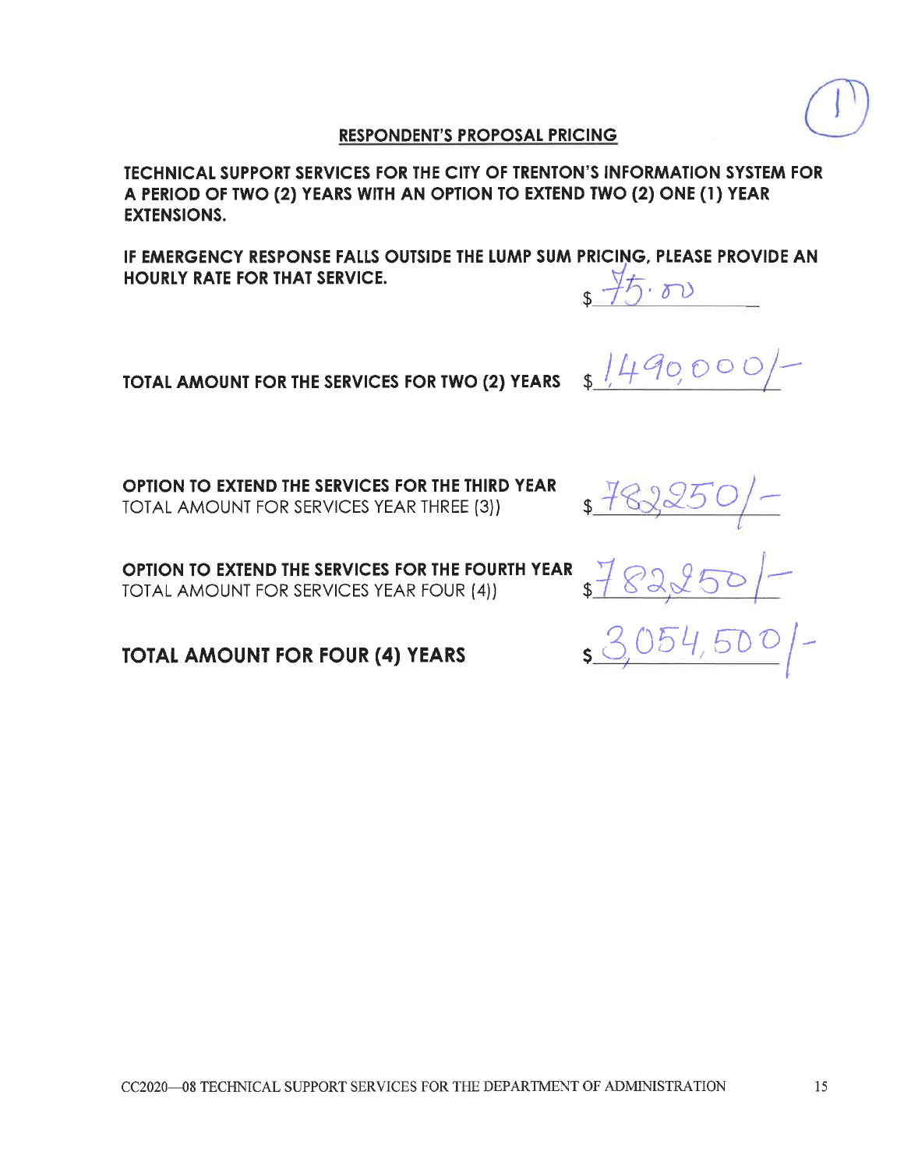**TECHNICAL SUPPORT SERVICES FOR THE CITY OF TRENTON'S INFORMATION SYSTEM FOR** A PERIOD OF TWO (2) YEARS WITH AN OPTION TO EXTEND TWO (2) ONE (1) YEAR **EXTENSIONS.** 

IF EMERGENCY RESPONSE FALLS OUTSIDE THE LUMP SUM PRICING, PLEASE PROVIDE AN **HOURLY RATE FOR THAT SERVICE.**  $45.80$ 

TOTAL AMOUNT FOR THE SERVICES FOR TWO (2) YEARS

OPTION TO EXTEND THE SERVICES FOR THE THIRD YEAR **TOTAL AMOUNT FOR SERVICES YEAR THREE (3))** 

OPTION TO EXTEND THE SERVICES FOR THE FOURTH YEAR TOTAL AMOUNT FOR SERVICES YEAR FOUR (4))

**TOTAL AMOUNT FOR FOUR (4) YEARS** 

 $1490000$ 

 $3782250$  -

\$ 782250/-

 $3054,500$  -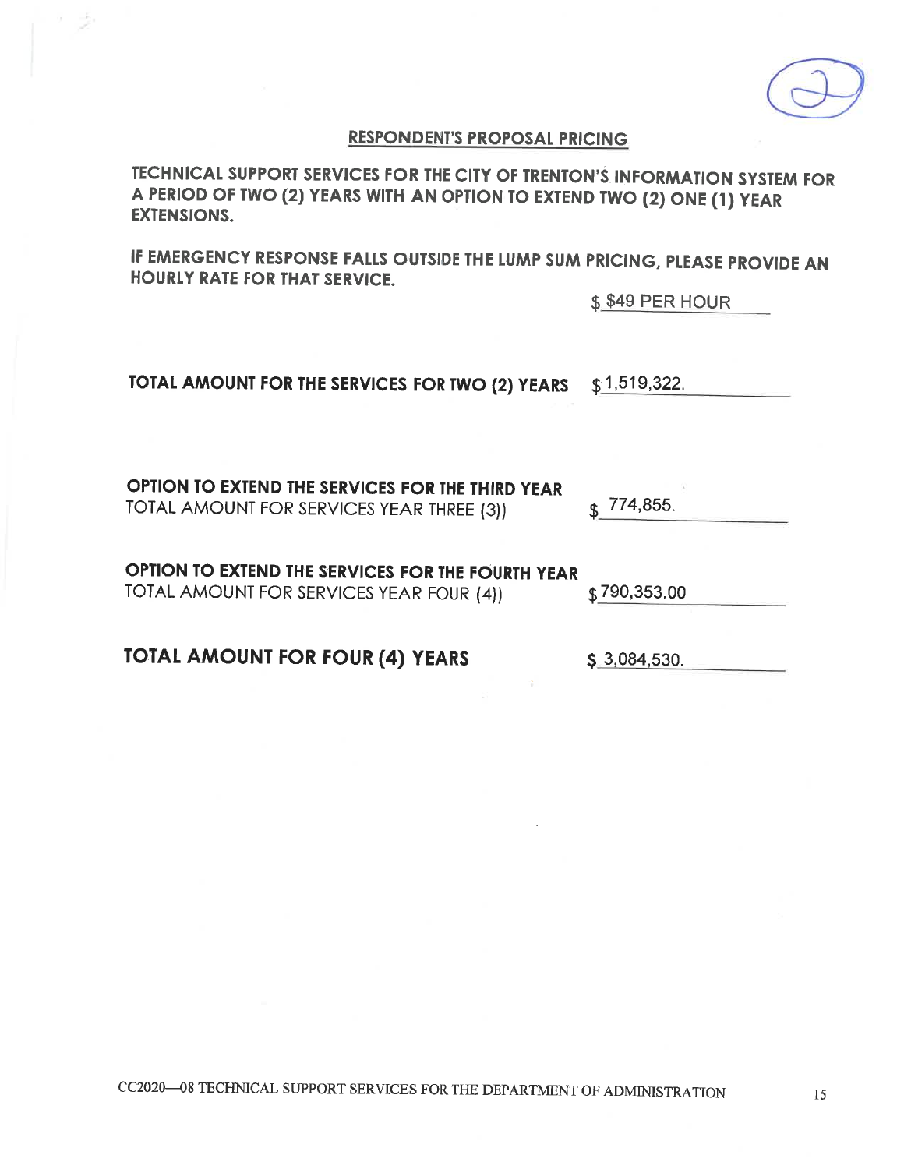15

CC2020-08 TECHNICAL SUPPORT SERVICES FOR THE DEPARTMENT OF ADMINISTRATION

TOTAL AMOUNT FOR SERVICES YEAR FOUR (4))

**TOTAL AMOUNT FOR FOUR (4) YEARS** 

OPTION TO EXTEND THE SERVICES FOR THE THIRD YEAR TOTAL AMOUNT FOR SERVICES YEAR THREE (3))

OPTION TO EXTEND THE SERVICES FOR THE FOURTH YEAR

TOTAL AMOUNT FOR THE SERVICES FOR TWO (2) YEARS  $$1,519,322.$ 

A PERIOD OF TWO (2) YEARS WITH AN OPTION TO EXTEND TWO (2) ONE (1) YEAR **EXTENSIONS.** 

TECHNICAL SUPPORT SERVICES FOR THE CITY OF TRENTON'S INFORMATION SYSTEM FOR

**RESPONDENT'S PROPOSAL PRICING** 

IF EMERGENCY RESPONSE FALLS OUTSIDE THE LUMP SUM PRICING, PLEASE PROVIDE AN **HOURLY RATE FOR THAT SERVICE.** 

\$ \$49 PER HOUR

 $$790,353.00$ 

 $$3,084,530.$ 



774,855.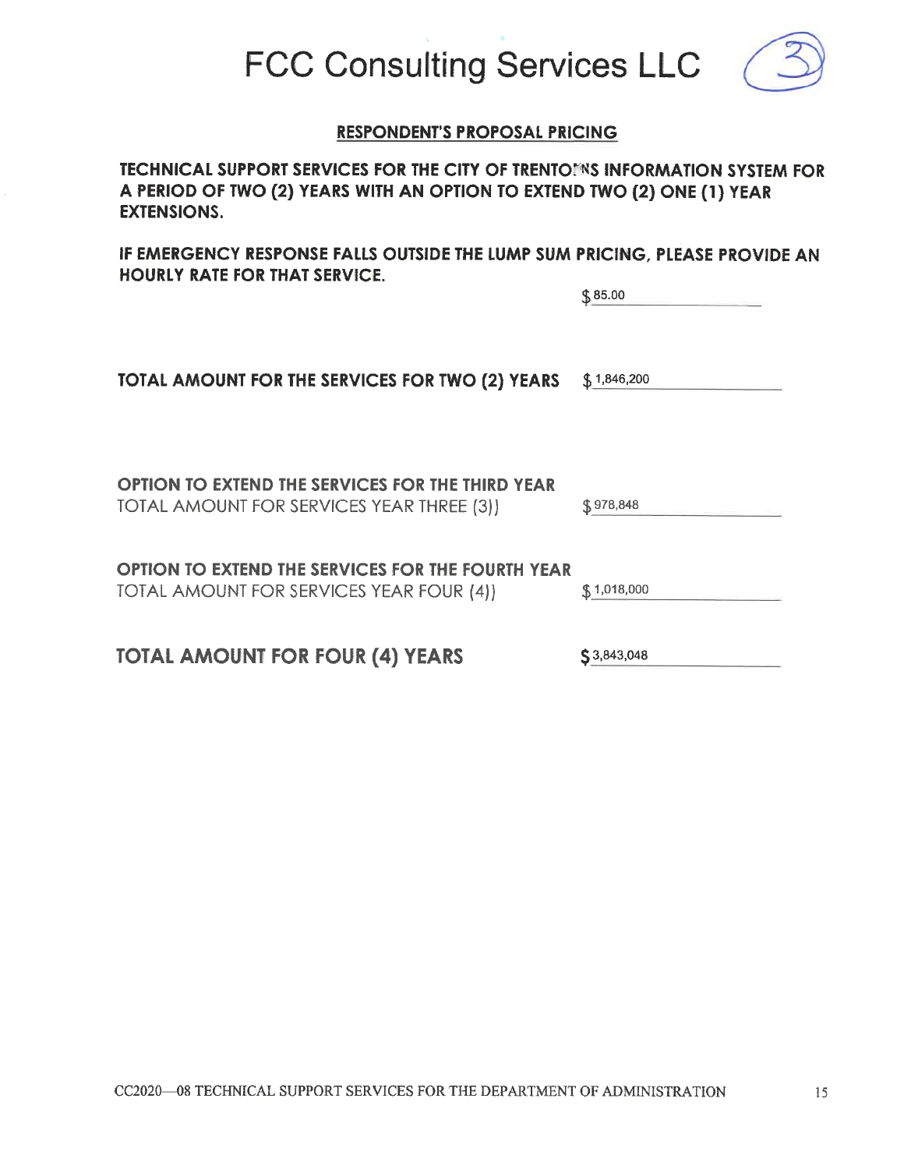**FCC Consulting Services LLC** 

**TECHNICAL SUPPORT SERVICES FOR THE CITY OF TRENTOINS INFORMATION SYSTEM FOR** A PERIOD OF TWO (2) YEARS WITH AN OPTION TO EXTEND TWO (2) ONE (1) YEAR **EXTENSIONS.** 

IF EMERGENCY RESPONSE FALLS OUTSIDE THE LUMP SUM PRICING, PLEASE PROVIDE AN **HOURLY RATE FOR THAT SERVICE.** 

| TOTAL AMOUNT FOR THE SERVICES FOR TWO (2) YEARS                                               | \$1,846,200 |
|-----------------------------------------------------------------------------------------------|-------------|
|                                                                                               |             |
| OPTION TO EXTEND THE SERVICES FOR THE THIRD YEAR<br>TOTAL AMOUNT FOR SERVICES YEAR THREE (3)) | \$978,848   |
| OPTION TO EXTEND THE SERVICES FOR THE FOURTH YEAR<br>TOTAL AMOUNT FOR SERVICES YEAR FOUR (4)) | \$1,018,000 |
|                                                                                               |             |

**TOTAL AMOUNT FOR FOUR (4) YEARS** 



15

 $$3,843,048$ 

 $$85.00$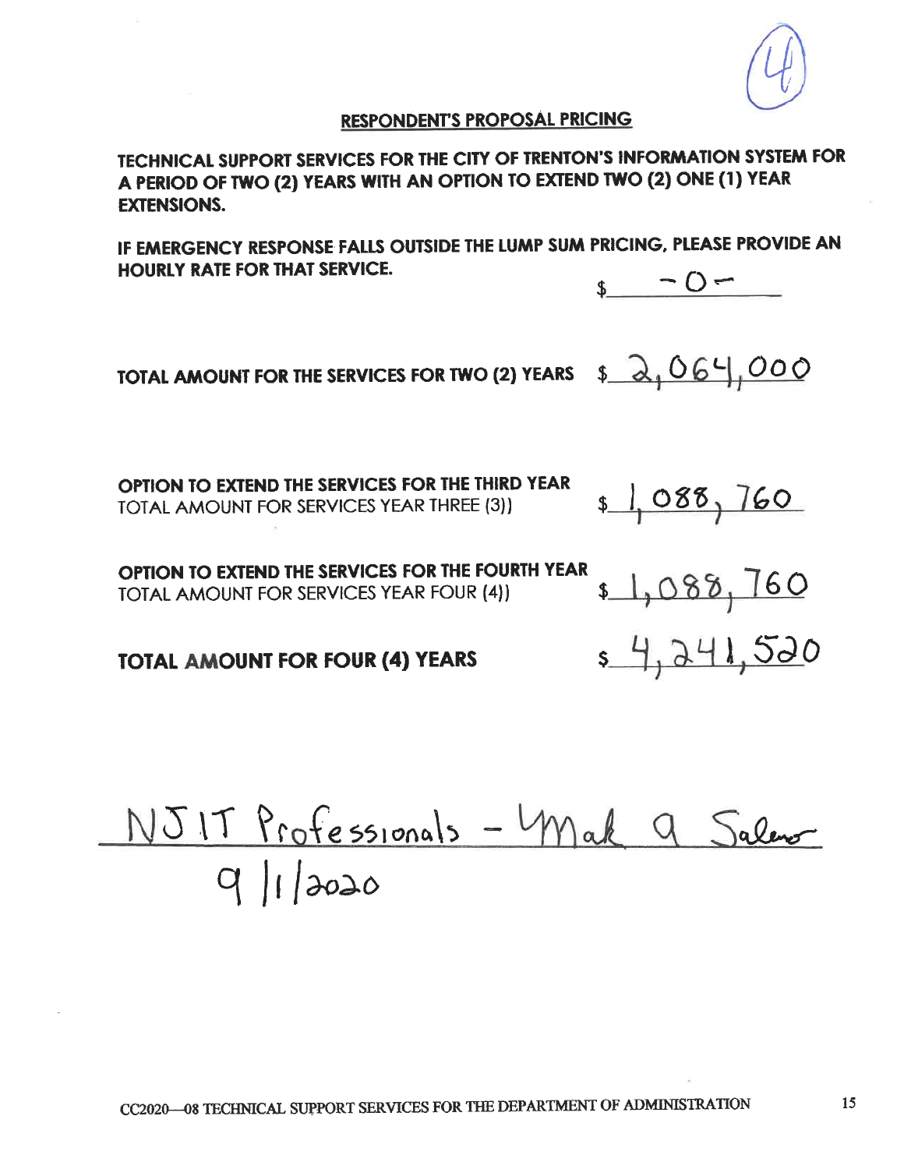TECHNICAL SUPPORT SERVICES FOR THE CITY OF TRENTON'S INFORMATION SYSTEM FOR A PERIOD OF TWO (2) YEARS WITH AN OPTION TO EXTEND TWO (2) ONE (1) YEAR **EXTENSIONS.** 

IF EMERGENCY RESPONSE FALLS OUTSIDE THE LUMP SUM PRICING, PLEASE PROVIDE AN **HOURLY RATE FOR THAT SERVICE.**  $-0-$ 

TOTAL AMOUNT FOR THE SERVICES FOR TWO (2) YEARS  $\frac{1}{2}$   $\frac{1}{2}$   $\frac{664}{1000}$ 

OPTION TO EXTEND THE SERVICES FOR THE THIRD YEAR TOTAL AMOUNT FOR SERVICES YEAR THREE (3))

OPTION TO EXTEND THE SERVICES FOR THE FOURTH YEAR TOTAL AMOUNT FOR SERVICES YEAR FOUR (4))

**TOTAL AMOUNT FOR FOUR (4) YEARS** 

NJIT Professionals - Mak 9 Salemon





 $1,088,160$ 

 $1,088,760$ 

\$4,241,520

15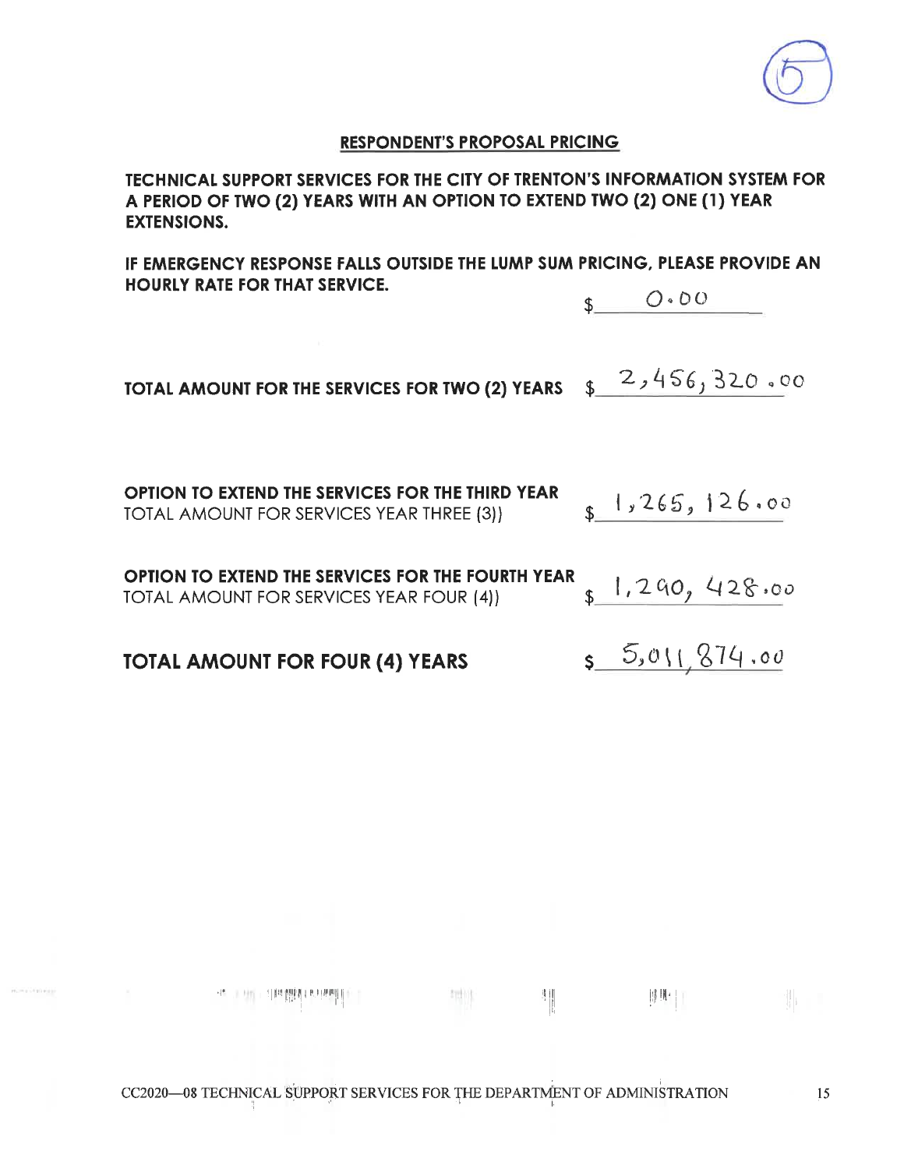TECHNICAL SUPPORT SERVICES FOR THE CITY OF TRENTON'S INFORMATION SYSTEM FOR A PERIOD OF TWO (2) YEARS WITH AN OPTION TO EXTEND TWO (2) ONE (1) YEAR **EXTENSIONS.** 

IF EMERGENCY RESPONSE FALLS OUTSIDE THE LUMP SUM PRICING, PLEASE PROVIDE AN **HOURLY RATE FOR THAT SERVICE.** 

 $\mathsf{S}$   $\mathsf{O}\cdot\mathsf{OO}$ 

TOTAL AMOUNT FOR THE SERVICES FOR TWO (2) YEARS \$2,456,320.00

OPTION TO EXTEND THE SERVICES FOR THE THIRD YEAR  $s$  1,265,126.00 **TOTAL AMOUNT FOR SERVICES YEAR THREE (3))** OPTION TO EXTEND THE SERVICES FOR THE FOURTH YEAR  $1,290,428.00$ TOTAL AMOUNT FOR SERVICES YEAR FOUR (4))

 $5.01, 874.00$ **TOTAL AMOUNT FOR FOUR (4) YEARS** 

 $\frac{1}{2} \frac{1}{16}$ 

 $\frac{1}{2}$ 

抑世 | |

 $\mathbb{E}[\mathbf{1}]_1 = \mathbb{E}$ 

 $\mathcal{A} = \mathcal{A} \mathcal{A} = \mathcal{A} \mathcal{A} = \mathcal{A} \mathcal{A} = \mathcal{A} \mathcal{A} = \mathcal{A} \mathcal{A}$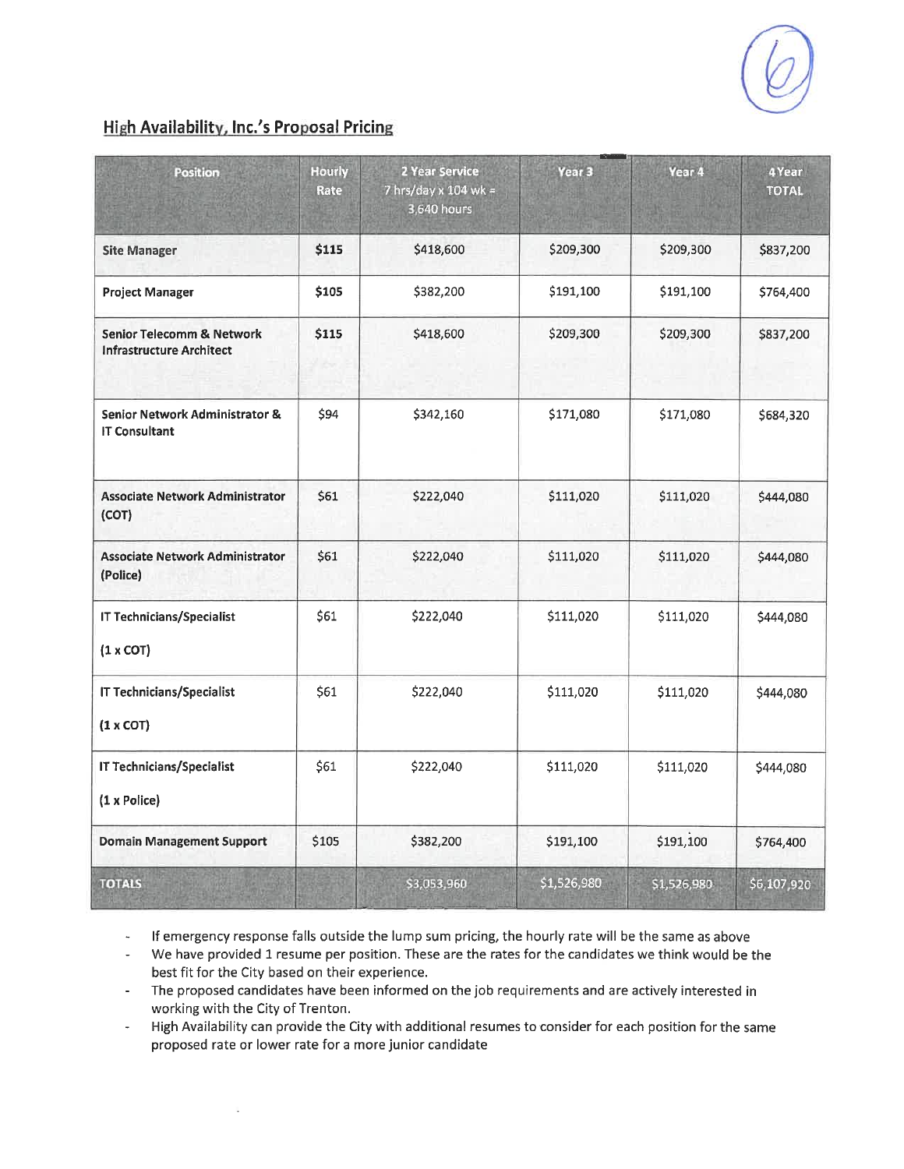## **High Availability, Inc.'s Proposal Pricing**

l,

| <b>Position</b>                                                   | <b>Hourly</b><br>Rate | 2 Year Service<br>7 hrs/day x 104 wk =<br>3,640 hours | Year <sub>3</sub> | Year 4      | 4 Year<br><b>TOTAL</b> |
|-------------------------------------------------------------------|-----------------------|-------------------------------------------------------|-------------------|-------------|------------------------|
| <b>Site Manager</b>                                               | \$115                 | \$418,600                                             | \$209,300         | \$209,300   | \$837,200              |
| <b>Project Manager</b>                                            | \$105                 | \$382,200                                             | \$191,100         | \$191,100   | \$764,400              |
| Senior Telecomm & Network<br><b>Infrastructure Architect</b>      | \$115                 | \$418,600                                             | \$209,300         | \$209,300   | \$837,200              |
| <b>Senior Network Administrator &amp;</b><br><b>IT Consultant</b> | \$94                  | \$342,160                                             | \$171,080         | \$171,080   | \$684,320              |
| <b>Associate Network Administrator</b><br>(COT)                   | \$61                  | \$222,040                                             | \$111,020         | \$111,020   | \$444,080              |
| <b>Associate Network Administrator</b><br>(Police)                | \$61                  | \$222,040                                             | \$111,020         | \$111,020   | \$444,080              |
| <b>IT Technicians/Specialist</b><br>$(1 \times COT)$              | \$61                  | \$222,040                                             | \$111,020         | \$111,020   | \$444,080              |
| IT Technicians/Specialist<br>(1 x COT)                            | \$61                  | \$222,040                                             | \$111,020         | \$111,020   | \$444,080              |
| <b>IT Technicians/Specialist</b><br>(1 x Police)                  | \$61                  | \$222,040                                             | \$111,020         | \$111,020   | \$444,080              |
| <b>Domain Management Support</b>                                  | \$105                 | \$382,200                                             | \$191,100         | \$191,100   | \$764,400              |
| <b>TOTALS</b>                                                     |                       | \$3,053,960                                           | \$1,526,980       | \$1,526,980 | \$6,107,920            |

If emergency response falls outside the lump sum pricing, the hourly rate will be the same as above  $\omega$ 

We have provided 1 resume per position. These are the rates for the candidates we think would be the  $\frac{1}{2}$ best fit for the City based on their experience.

The proposed candidates have been informed on the job requirements and are actively interested in  $\sim 100$ working with the City of Trenton.

High Availability can provide the City with additional resumes to consider for each position for the same  $\bar{\phantom{a}}$ proposed rate or lower rate for a more junior candidate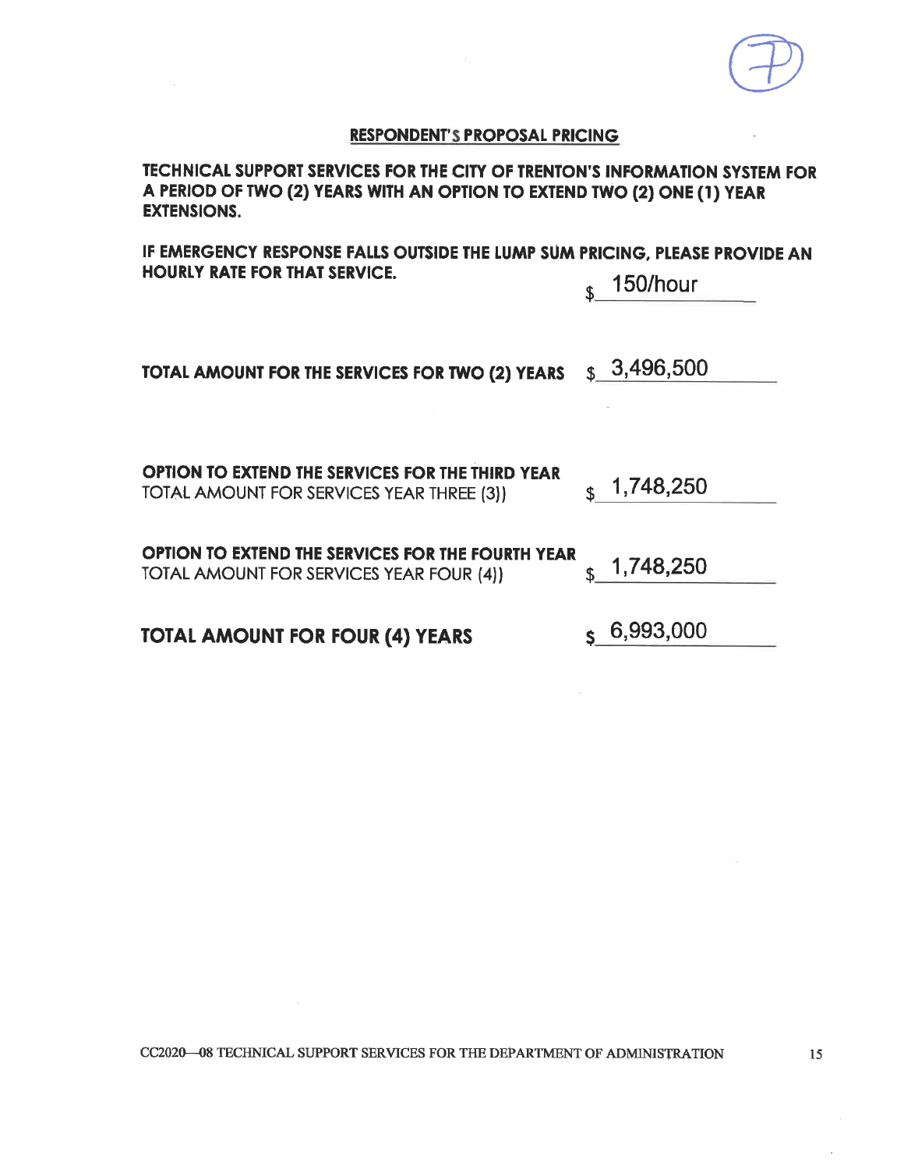TECHNICAL SUPPORT SERVICES FOR THE CITY OF TRENTON'S INFORMATION SYSTEM FOR A PERIOD OF TWO (2) YEARS WITH AN OPTION TO EXTEND TWO (2) ONE (1) YEAR **EXTENSIONS.** 

IF EMERGENCY RESPONSE FALLS OUTSIDE THE LUMP SUM PRICING, PLEASE PROVIDE AN **HOURLY RATE FOR THAT SERVICE.** 

150/hour \$

| TOTAL AMOUNT FOR THE SERVICES FOR TWO (2) YEARS | $\frac{}{\text{S}}$ 3,496,500 |
|-------------------------------------------------|-------------------------------|
|-------------------------------------------------|-------------------------------|

**OPTION TO EXTEND THE SERVICES FOR THE THIRD YEAR**  $\frac{1}{3}$  1,748,250 TOTAL AMOUNT FOR SERVICES YEAR THREE (3))

| OPTION TO EXTEND THE SERVICES FOR THE FOURTH YEAR |                        |
|---------------------------------------------------|------------------------|
| TOTAL AMOUNT FOR SERVICES YEAR FOUR (4))          | $\binom{1,748,250}{ }$ |

**TOTAL AMOUNT FOR FOUR (4) YEARS** 

 $S$  6,993,000

CC2020-08 TECHNICAL SUPPORT SERVICES FOR THE DEPARTMENT OF ADMINISTRATION

15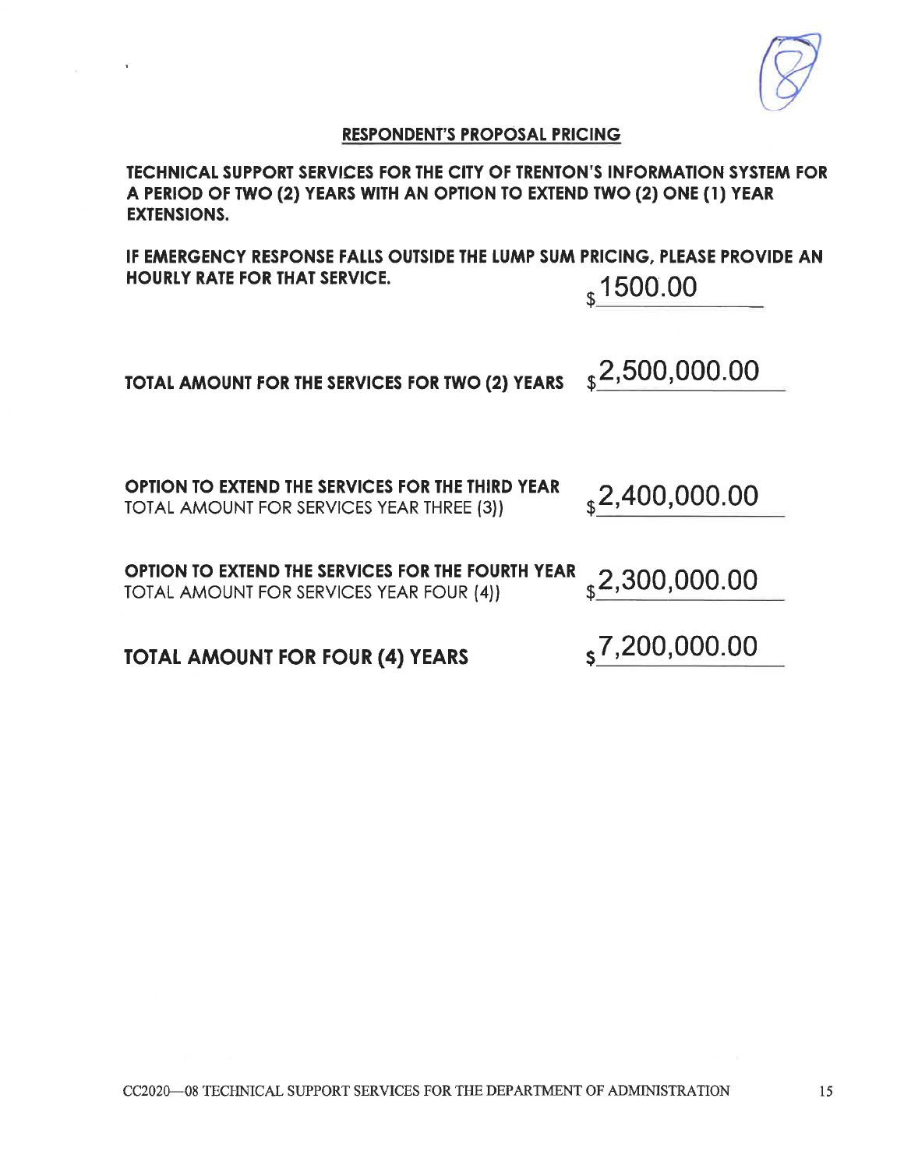TECHNICAL SUPPORT SERVICES FOR THE CITY OF TRENTON'S INFORMATION SYSTEM FOR A PERIOD OF TWO (2) YEARS WITH AN OPTION TO EXTEND TWO (2) ONE (1) YEAR **EXTENSIONS.** 

IF EMERGENCY RESPONSE FALLS OUTSIDE THE LUMP SUM PRICING, PLEASE PROVIDE AN **HOURLY RATE FOR THAT SERVICE.**  $_{\rm s}$ 1500.00

TOTAL AMOUNT FOR THE SERVICES FOR TWO (2) YEARS

 $_{s}2,500,000.00$ 

OPTION TO EXTEND THE SERVICES FOR THE THIRD YEAR TOTAL AMOUNT FOR SERVICES YEAR THREE (3))

 $_{s}$ 2,400,000.00

OPTION TO EXTEND THE SERVICES FOR THE FOURTH YEAR  $_{s}$ 2,300,000.00 TOTAL AMOUNT FOR SERVICES YEAR FOUR (4))

**TOTAL AMOUNT FOR FOUR (4) YEARS** 

 $S$ <sup>7</sup>,200,000.00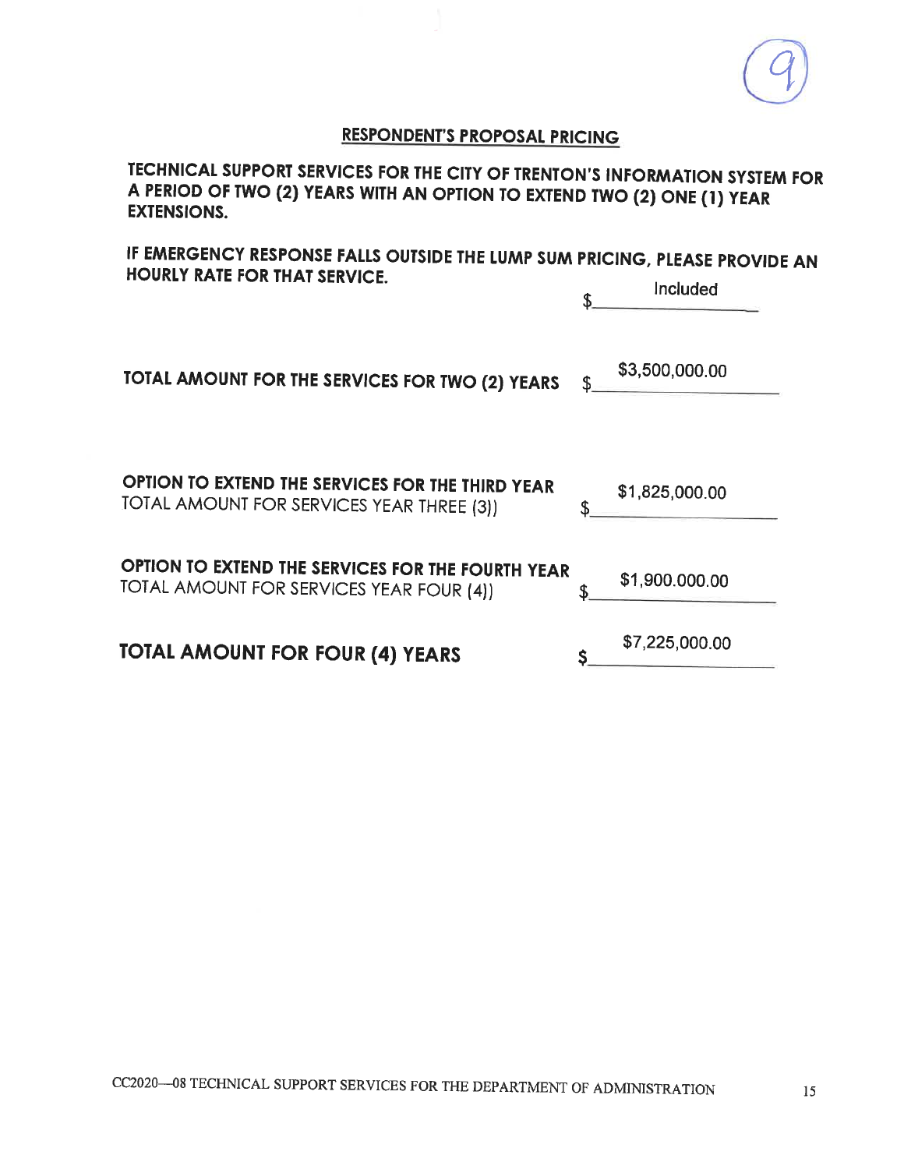

TECHNICAL SUPPORT SERVICES FOR THE CITY OF TRENTON'S INFORMATION SYSTEM FOR A PERIOD OF TWO (2) YEARS WITH AN OPTION TO EXTEND TWO (2) ONE (1) YEAR **EXTENSIONS.** 

IF EMERGENCY RESPONSE FALLS OUTSIDE THE LUMP SUM PRICING, PLEASE PROVIDE AN HOURLY RATE FOR THAT SERVICE. **The advanced and** 

|                                                                                               |   | <b>Included</b> |
|-----------------------------------------------------------------------------------------------|---|-----------------|
| TOTAL AMOUNT FOR THE SERVICES FOR TWO (2) YEARS                                               |   | \$3,500,000.00  |
| OPTION TO EXTEND THE SERVICES FOR THE THIRD YEAR<br>TOTAL AMOUNT FOR SERVICES YEAR THREE (3)) |   | \$1,825,000.00  |
| OPTION TO EXTEND THE SERVICES FOR THE FOURTH YEAR<br>TOTAL AMOUNT FOR SERVICES YEAR FOUR (4)) | S | \$1,900.000.00  |
| <b>TOTAL AMOUNT FOR FOUR (4) YEARS</b>                                                        |   | \$7,225,000.00  |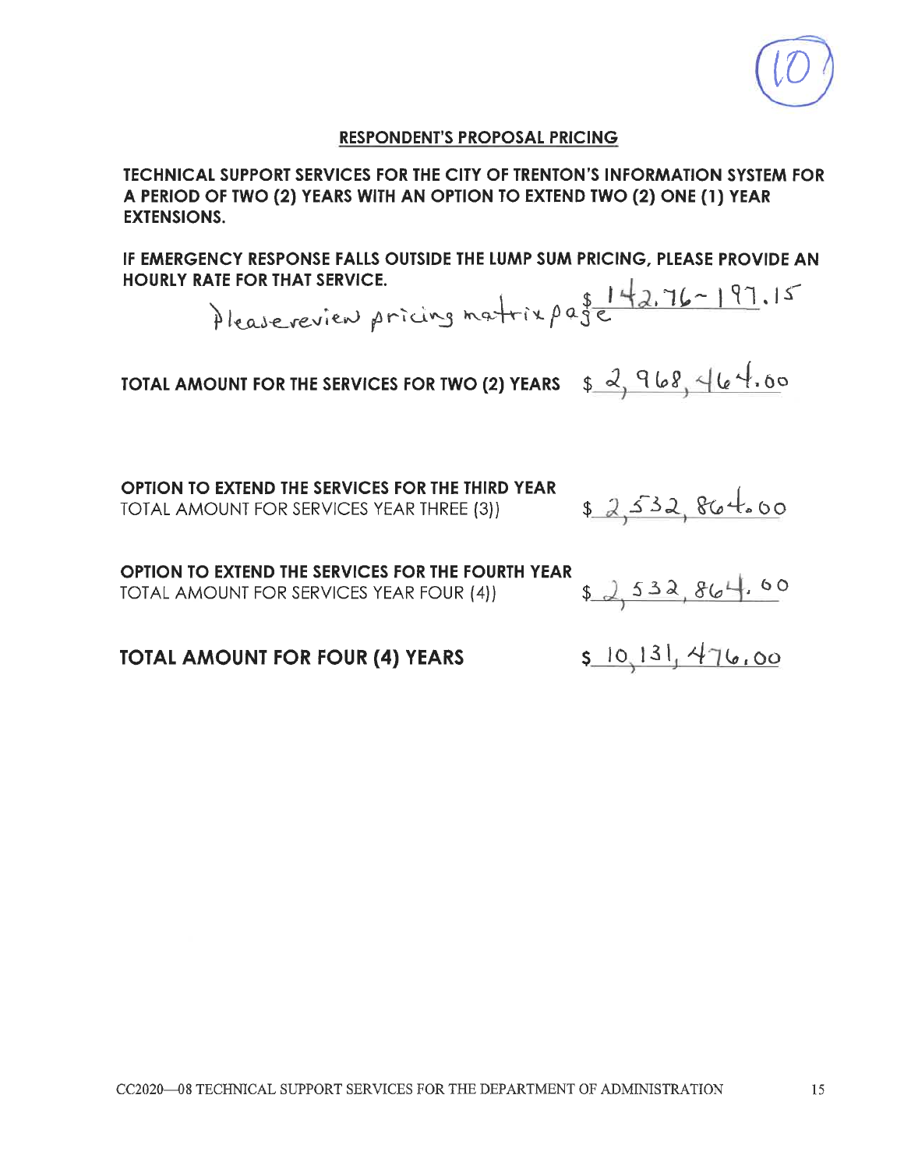**TECHNICAL SUPPORT SERVICES FOR THE CITY OF TRENTON'S INFORMATION SYSTEM FOR** A PERIOD OF TWO (2) YEARS WITH AN OPTION TO EXTEND TWO (2) ONE (1) YEAR **EXTENSIONS.** 

IF EMERGENCY RESPONSE FALLS OUTSIDE THE LUMP SUM PRICING, PLEASE PROVIDE AN **HOURLY RATE FOR THAT SERVICE.** 

Pleasereview pricing matrix page 142.76-197.15

TOTAL AMOUNT FOR THE SERVICES FOR TWO (2) YEARS  $\oint \frac{2}{3}$  968, 464.00

OPTION TO EXTEND THE SERVICES FOR THE THIRD YEAR TOTAL AMOUNT FOR SERVICES YEAR THREE (3))

OPTION TO EXTEND THE SERVICES FOR THE FOURTH YEAR TOTAL AMOUNT FOR SERVICES YEAR FOUR (4))

 $52,532,864.60$ 

5 10 131, 476,00

\$ 2,532, 864.00

**TOTAL AMOUNT FOR FOUR (4) YEARS**